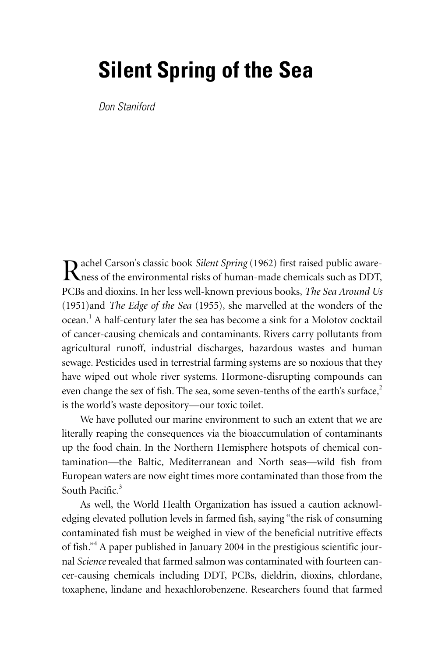# **Silent Spring of the Sea**

*Don Staniford*

Rachel Carson's classic book *Silent Spring* (1962) first raised public aware-<br>Rness of the environmental risks of human-made chemicals such as DDT, PCBs and dioxins. In her less well-known previous books, *The Sea Around Us* (1951)and *The Edge of the Sea* (1955), she marvelled at the wonders of the ocean.1 A half-century later the sea has become a sink for a Molotov cocktail of cancer-causing chemicals and contaminants. Rivers carry pollutants from agricultural runoff, industrial discharges, hazardous wastes and human sewage. Pesticides used in terrestrial farming systems are so noxious that they have wiped out whole river systems. Hormone-disrupting compounds can even change the sex of fish. The sea, some seven-tenths of the earth's surface, $2$ is the world's waste depository—our toxic toilet.

We have polluted our marine environment to such an extent that we are literally reaping the consequences via the bioaccumulation of contaminants up the food chain. In the Northern Hemisphere hotspots of chemical contamination—the Baltic, Mediterranean and North seas—wild fish from European waters are now eight times more contaminated than those from the South Pacific.<sup>3</sup>

As well, the World Health Organization has issued a caution acknowledging elevated pollution levels in farmed fish, saying "the risk of consuming contaminated fish must be weighed in view of the beneficial nutritive effects of fish."<sup>4</sup> A paper published in January 2004 in the prestigious scientific journal *Science* revealed that farmed salmon was contaminated with fourteen cancer-causing chemicals including DDT, PCBs, dieldrin, dioxins, chlordane, toxaphene, lindane and hexachlorobenzene. Researchers found that farmed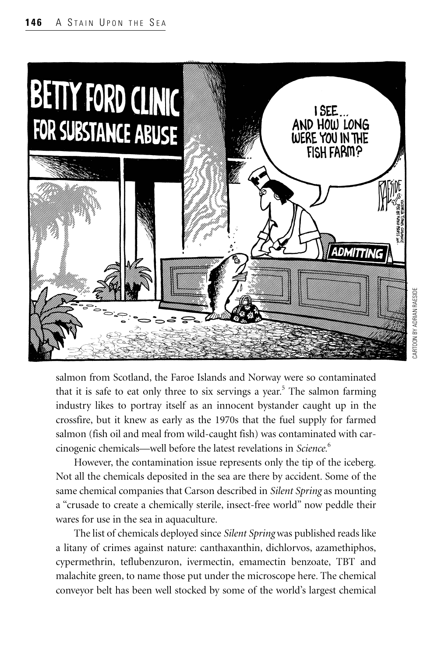

salmon from Scotland, the Faroe Islands and Norway were so contaminated that it is safe to eat only three to six servings a year.<sup>5</sup> The salmon farming industry likes to portray itself as an innocent bystander caught up in the crossfire, but it knew as early as the 1970s that the fuel supply for farmed salmon (fish oil and meal from wild-caught fish) was contaminated with carcinogenic chemicals—well before the latest revelations in *Science.*<sup>6</sup>

However, the contamination issue represents only the tip of the iceberg. Not all the chemicals deposited in the sea are there by accident. Some of the same chemical companies that Carson described in *Silent Spring* as mounting a "crusade to create a chemically sterile, insect-free world" now peddle their wares for use in the sea in aquaculture.

The list of chemicals deployed since *Silent Spring* was published reads like a litany of crimes against nature: canthaxanthin, dichlorvos, azamethiphos, cypermethrin, teflubenzuron, ivermectin, emamectin benzoate, TBT and malachite green, to name those put under the microscope here. The chemical conveyor belt has been well stocked by some of the world's largest chemical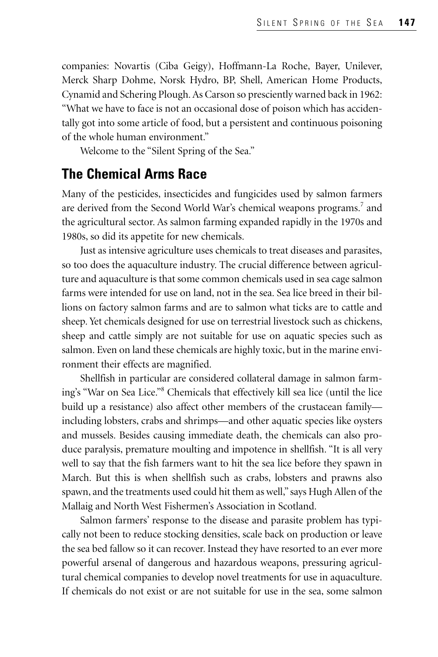companies: Novartis (Ciba Geigy), Hoffmann-La Roche, Bayer, Unilever, Merck Sharp Dohme, Norsk Hydro, BP, Shell, American Home Products, Cynamid and Schering Plough. As Carson so presciently warned back in 1962: "What we have to face is not an occasional dose of poison which has accidentally got into some article of food, but a persistent and continuous poisoning of the whole human environment."

Welcome to the "Silent Spring of the Sea."

## **The Chemical Arms Race**

Many of the pesticides, insecticides and fungicides used by salmon farmers are derived from the Second World War's chemical weapons programs.<sup>7</sup> and the agricultural sector. As salmon farming expanded rapidly in the 1970s and 1980s, so did its appetite for new chemicals.

Just as intensive agriculture uses chemicals to treat diseases and parasites, so too does the aquaculture industry. The crucial difference between agriculture and aquaculture is that some common chemicals used in sea cage salmon farms were intended for use on land, not in the sea. Sea lice breed in their billions on factory salmon farms and are to salmon what ticks are to cattle and sheep. Yet chemicals designed for use on terrestrial livestock such as chickens, sheep and cattle simply are not suitable for use on aquatic species such as salmon. Even on land these chemicals are highly toxic, but in the marine environment their effects are magnified.

Shellfish in particular are considered collateral damage in salmon farming's "War on Sea Lice."<sup>8</sup> Chemicals that effectively kill sea lice (until the lice build up a resistance) also affect other members of the crustacean family including lobsters, crabs and shrimps—and other aquatic species like oysters and mussels. Besides causing immediate death, the chemicals can also produce paralysis, premature moulting and impotence in shellfish. "It is all very well to say that the fish farmers want to hit the sea lice before they spawn in March. But this is when shellfish such as crabs, lobsters and prawns also spawn, and the treatments used could hit them as well," says Hugh Allen of the Mallaig and North West Fishermen's Association in Scotland.

Salmon farmers' response to the disease and parasite problem has typically not been to reduce stocking densities, scale back on production or leave the sea bed fallow so it can recover. Instead they have resorted to an ever more powerful arsenal of dangerous and hazardous weapons, pressuring agricultural chemical companies to develop novel treatments for use in aquaculture. If chemicals do not exist or are not suitable for use in the sea, some salmon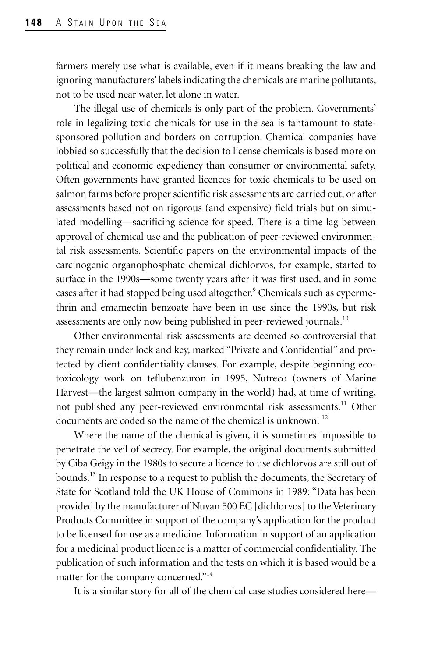farmers merely use what is available, even if it means breaking the law and ignoring manufacturers' labels indicating the chemicals are marine pollutants, not to be used near water, let alone in water.

The illegal use of chemicals is only part of the problem. Governments' role in legalizing toxic chemicals for use in the sea is tantamount to statesponsored pollution and borders on corruption. Chemical companies have lobbied so successfully that the decision to license chemicals is based more on political and economic expediency than consumer or environmental safety. Often governments have granted licences for toxic chemicals to be used on salmon farms before proper scientific risk assessments are carried out, or after assessments based not on rigorous (and expensive) field trials but on simulated modelling—sacrificing science for speed. There is a time lag between approval of chemical use and the publication of peer-reviewed environmental risk assessments. Scientific papers on the environmental impacts of the carcinogenic organophosphate chemical dichlorvos, for example, started to surface in the 1990s—some twenty years after it was first used, and in some cases after it had stopped being used altogether.<sup>9</sup> Chemicals such as cypermethrin and emamectin benzoate have been in use since the 1990s, but risk assessments are only now being published in peer-reviewed journals.<sup>10</sup>

Other environmental risk assessments are deemed so controversial that they remain under lock and key, marked "Private and Confidential" and protected by client confidentiality clauses. For example, despite beginning ecotoxicology work on teflubenzuron in 1995, Nutreco (owners of Marine Harvest—the largest salmon company in the world) had, at time of writing, not published any peer-reviewed environmental risk assessments.<sup>11</sup> Other documents are coded so the name of the chemical is unknown.<sup>12</sup>

Where the name of the chemical is given, it is sometimes impossible to penetrate the veil of secrecy. For example, the original documents submitted by Ciba Geigy in the 1980s to secure a licence to use dichlorvos are still out of bounds.<sup>13</sup> In response to a request to publish the documents, the Secretary of State for Scotland told the UK House of Commons in 1989: "Data has been provided by the manufacturer of Nuvan 500 EC [dichlorvos] to the Veterinary Products Committee in support of the company's application for the product to be licensed for use as a medicine. Information in support of an application for a medicinal product licence is a matter of commercial confidentiality. The publication of such information and the tests on which it is based would be a matter for the company concerned."<sup>14</sup>

It is a similar story for all of the chemical case studies considered here—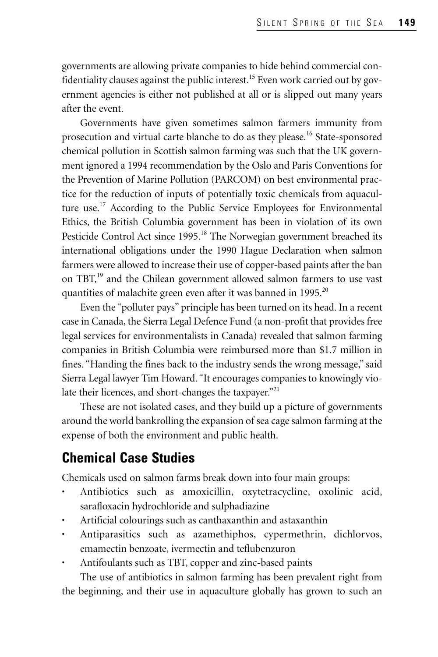governments are allowing private companies to hide behind commercial confidentiality clauses against the public interest.<sup>15</sup> Even work carried out by government agencies is either not published at all or is slipped out many years after the event.

Governments have given sometimes salmon farmers immunity from prosecution and virtual carte blanche to do as they please.<sup>16</sup> State-sponsored chemical pollution in Scottish salmon farming was such that the UK government ignored a 1994 recommendation by the Oslo and Paris Conventions for the Prevention of Marine Pollution (PARCOM) on best environmental practice for the reduction of inputs of potentially toxic chemicals from aquaculture use.<sup>17</sup> According to the Public Service Employees for Environmental Ethics, the British Columbia government has been in violation of its own Pesticide Control Act since 1995.<sup>18</sup> The Norwegian government breached its international obligations under the 1990 Hague Declaration when salmon farmers were allowed to increase their use of copper-based paints after the ban on TBT,<sup>19</sup> and the Chilean government allowed salmon farmers to use vast quantities of malachite green even after it was banned in 1995.<sup>20</sup>

Even the "polluter pays" principle has been turned on its head. In a recent case in Canada, the Sierra Legal Defence Fund (a non-profit that provides free legal services for environmentalists in Canada) revealed that salmon farming companies in British Columbia were reimbursed more than \$1.7 million in fines. "Handing the fines back to the industry sends the wrong message," said Sierra Legal lawyer Tim Howard. "It encourages companies to knowingly violate their licences, and short-changes the taxpayer."<sup>21</sup>

These are not isolated cases, and they build up a picture of governments around the world bankrolling the expansion of sea cage salmon farming at the expense of both the environment and public health.

## **Chemical Case Studies**

Chemicals used on salmon farms break down into four main groups:

- Antibiotics such as amoxicillin, oxytetracycline, oxolinic acid, sarafloxacin hydrochloride and sulphadiazine
- Artificial colourings such as canthaxanthin and astaxanthin
- Antiparasitics such as azamethiphos, cypermethrin, dichlorvos, emamectin benzoate, ivermectin and teflubenzuron
- Antifoulants such as TBT, copper and zinc-based paints

The use of antibiotics in salmon farming has been prevalent right from the beginning, and their use in aquaculture globally has grown to such an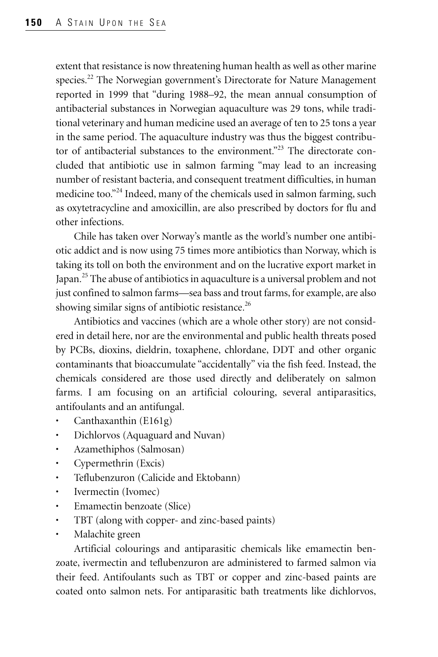extent that resistance is now threatening human health as well as other marine species.<sup>22</sup> The Norwegian government's Directorate for Nature Management reported in 1999 that "during 1988–92, the mean annual consumption of antibacterial substances in Norwegian aquaculture was 29 tons, while traditional veterinary and human medicine used an average of ten to 25 tons a year in the same period. The aquaculture industry was thus the biggest contributor of antibacterial substances to the environment."<sup>23</sup> The directorate concluded that antibiotic use in salmon farming "may lead to an increasing number of resistant bacteria, and consequent treatment difficulties, in human medicine too."<sup>24</sup> Indeed, many of the chemicals used in salmon farming, such as oxytetracycline and amoxicillin, are also prescribed by doctors for flu and other infections.

Chile has taken over Norway's mantle as the world's number one antibiotic addict and is now using 75 times more antibiotics than Norway, which is taking its toll on both the environment and on the lucrative export market in Japan.<sup>25</sup> The abuse of antibiotics in aquaculture is a universal problem and not just confined to salmon farms—sea bass and trout farms, for example, are also showing similar signs of antibiotic resistance.<sup>26</sup>

Antibiotics and vaccines (which are a whole other story) are not considered in detail here, nor are the environmental and public health threats posed by PCBs, dioxins, dieldrin, toxaphene, chlordane, DDT and other organic contaminants that bioaccumulate "accidentally" via the fish feed. Instead, the chemicals considered are those used directly and deliberately on salmon farms. I am focusing on an artificial colouring, several antiparasitics, antifoulants and an antifungal.

- Canthaxanthin (E161g)
- Dichlorvos (Aquaguard and Nuvan)
- Azamethiphos (Salmosan)
- Cypermethrin (Excis)
- Teflubenzuron (Calicide and Ektobann)
- Ivermectin (Ivomec)
- Emamectin benzoate (Slice)
- TBT (along with copper- and zinc-based paints)
- Malachite green

Artificial colourings and antiparasitic chemicals like emamectin benzoate, ivermectin and teflubenzuron are administered to farmed salmon via their feed. Antifoulants such as TBT or copper and zinc-based paints are coated onto salmon nets. For antiparasitic bath treatments like dichlorvos,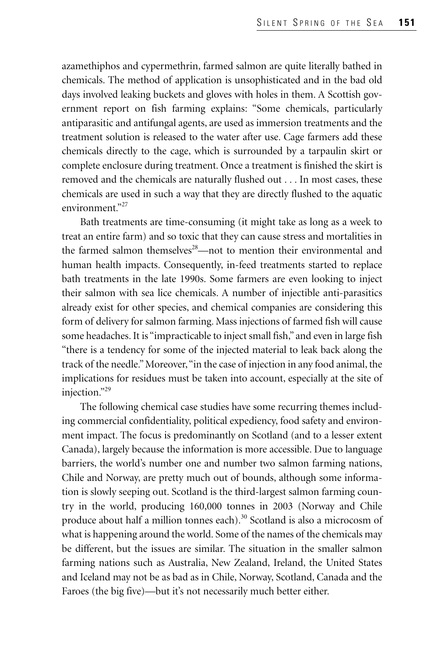azamethiphos and cypermethrin, farmed salmon are quite literally bathed in chemicals. The method of application is unsophisticated and in the bad old days involved leaking buckets and gloves with holes in them. A Scottish government report on fish farming explains: "Some chemicals, particularly antiparasitic and antifungal agents, are used as immersion treatments and the treatment solution is released to the water after use. Cage farmers add these chemicals directly to the cage, which is surrounded by a tarpaulin skirt or complete enclosure during treatment. Once a treatment is finished the skirt is removed and the chemicals are naturally flushed out . . . In most cases, these chemicals are used in such a way that they are directly flushed to the aquatic environment."<sup>27</sup>

Bath treatments are time-consuming (it might take as long as a week to treat an entire farm) and so toxic that they can cause stress and mortalities in the farmed salmon themselves $28$ —not to mention their environmental and human health impacts. Consequently, in-feed treatments started to replace bath treatments in the late 1990s. Some farmers are even looking to inject their salmon with sea lice chemicals. A number of injectible anti-parasitics already exist for other species, and chemical companies are considering this form of delivery for salmon farming. Mass injections of farmed fish will cause some headaches. It is "impracticable to inject small fish," and even in large fish "there is a tendency for some of the injected material to leak back along the track of the needle." Moreover,"in the case of injection in any food animal, the implications for residues must be taken into account, especially at the site of injection."29

The following chemical case studies have some recurring themes including commercial confidentiality, political expediency, food safety and environment impact. The focus is predominantly on Scotland (and to a lesser extent Canada), largely because the information is more accessible. Due to language barriers, the world's number one and number two salmon farming nations, Chile and Norway, are pretty much out of bounds, although some information is slowly seeping out. Scotland is the third-largest salmon farming country in the world, producing 160,000 tonnes in 2003 (Norway and Chile produce about half a million tonnes each).<sup>30</sup> Scotland is also a microcosm of what is happening around the world. Some of the names of the chemicals may be different, but the issues are similar. The situation in the smaller salmon farming nations such as Australia, New Zealand, Ireland, the United States and Iceland may not be as bad as in Chile, Norway, Scotland, Canada and the Faroes (the big five)—but it's not necessarily much better either.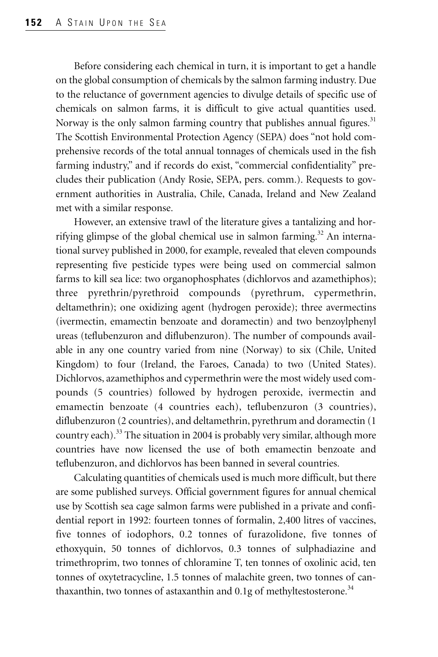Before considering each chemical in turn, it is important to get a handle on the global consumption of chemicals by the salmon farming industry. Due to the reluctance of government agencies to divulge details of specific use of chemicals on salmon farms, it is difficult to give actual quantities used. Norway is the only salmon farming country that publishes annual figures.<sup>31</sup> The Scottish Environmental Protection Agency (SEPA) does "not hold comprehensive records of the total annual tonnages of chemicals used in the fish farming industry," and if records do exist, "commercial confidentiality" precludes their publication (Andy Rosie, SEPA, pers. comm.). Requests to government authorities in Australia, Chile, Canada, Ireland and New Zealand met with a similar response.

However, an extensive trawl of the literature gives a tantalizing and horrifying glimpse of the global chemical use in salmon farming.<sup>32</sup> An international survey published in 2000, for example, revealed that eleven compounds representing five pesticide types were being used on commercial salmon farms to kill sea lice: two organophosphates (dichlorvos and azamethiphos); three pyrethrin/pyrethroid compounds (pyrethrum, cypermethrin, deltamethrin); one oxidizing agent (hydrogen peroxide); three avermectins (ivermectin, emamectin benzoate and doramectin) and two benzoylphenyl ureas (teflubenzuron and diflubenzuron). The number of compounds available in any one country varied from nine (Norway) to six (Chile, United Kingdom) to four (Ireland, the Faroes, Canada) to two (United States). Dichlorvos, azamethiphos and cypermethrin were the most widely used compounds (5 countries) followed by hydrogen peroxide, ivermectin and emamectin benzoate (4 countries each), teflubenzuron (3 countries), diflubenzuron (2 countries), and deltamethrin, pyrethrum and doramectin (1 country each).<sup>33</sup> The situation in 2004 is probably very similar, although more countries have now licensed the use of both emamectin benzoate and teflubenzuron, and dichlorvos has been banned in several countries.

Calculating quantities of chemicals used is much more difficult, but there are some published surveys. Official government figures for annual chemical use by Scottish sea cage salmon farms were published in a private and confidential report in 1992: fourteen tonnes of formalin, 2,400 litres of vaccines, five tonnes of iodophors, 0.2 tonnes of furazolidone, five tonnes of ethoxyquin, 50 tonnes of dichlorvos, 0.3 tonnes of sulphadiazine and trimethroprim, two tonnes of chloramine T, ten tonnes of oxolinic acid, ten tonnes of oxytetracycline, 1.5 tonnes of malachite green, two tonnes of canthaxanthin, two tonnes of astaxanthin and  $0.1g$  of methyltestosterone.<sup>34</sup>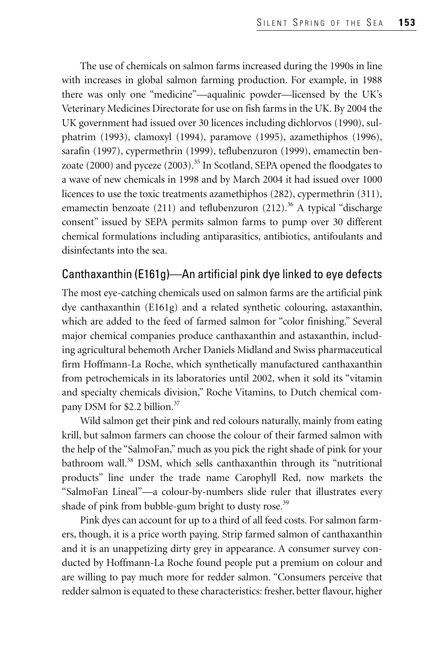The use of chemicals on salmon farms increased during the 1990s in line with increases in global salmon farming production. For example, in 1988 there was only one "medicine"—aqualinic powder—licensed by the UK's Veterinary Medicines Directorate for use on fish farms in the UK. By 2004 the UK government had issued over 30 licences including dichlorvos (1990), sulphatrim (1993), clamoxyl (1994), paramove (1995), azamethiphos (1996), sarafin (1997), cypermethrin (1999), teflubenzuron (1999), emamectin benzoate (2000) and pyceze (2003).<sup>35</sup> In Scotland, SEPA opened the floodgates to a wave of new chemicals in 1998 and by March 2004 it had issued over 1000 licences to use the toxic treatments azamethiphos (282), cypermethrin (311), emamectin benzoate (211) and teflubenzuron (212).<sup>36</sup> A typical "discharge consent" issued by SEPA permits salmon farms to pump over 30 different chemical formulations including antiparasitics, antibiotics, antifoulants and disinfectants into the sea.

#### Canthaxanthin (E161g)—An artificial pink dye linked to eye defects

The most eye-catching chemicals used on salmon farms are the artificial pink dye canthaxanthin (E161g) and a related synthetic colouring, astaxanthin, which are added to the feed of farmed salmon for "color finishing." Several major chemical companies produce canthaxanthin and astaxanthin, including agricultural behemoth Archer Daniels Midland and Swiss pharmaceutical firm Hoffmann-La Roche, which synthetically manufactured canthaxanthin from petrochemicals in its laboratories until 2002, when it sold its "vitamin and specialty chemicals division," Roche Vitamins, to Dutch chemical company DSM for \$2.2 billion.<sup>37</sup>

Wild salmon get their pink and red colours naturally, mainly from eating krill, but salmon farmers can choose the colour of their farmed salmon with the help of the "SalmoFan," much as you pick the right shade of pink for your bathroom wall.<sup>38</sup> DSM, which sells canthaxanthin through its "nutritional products" line under the trade name Carophyll Red, now markets the "SalmoFan Lineal"—a colour-by-numbers slide ruler that illustrates every shade of pink from bubble-gum bright to dusty rose.<sup>39</sup>

Pink dyes can account for up to a third of all feed costs. For salmon farmers, though, it is a price worth paying. Strip farmed salmon of canthaxanthin and it is an unappetizing dirty grey in appearance. A consumer survey conducted by Hoffmann-La Roche found people put a premium on colour and are willing to pay much more for redder salmon. "Consumers perceive that redder salmon is equated to these characteristics: fresher, better flavour, higher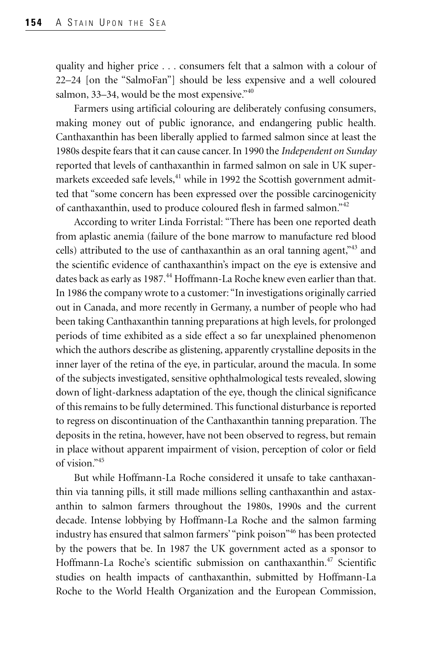quality and higher price . . . consumers felt that a salmon with a colour of 22–24 [on the "SalmoFan"] should be less expensive and a well coloured salmon, 33-34, would be the most expensive."40

Farmers using artificial colouring are deliberately confusing consumers, making money out of public ignorance, and endangering public health. Canthaxanthin has been liberally applied to farmed salmon since at least the 1980s despite fears that it can cause cancer. In 1990 the *Independent on Sunday* reported that levels of canthaxanthin in farmed salmon on sale in UK supermarkets exceeded safe levels,<sup>41</sup> while in 1992 the Scottish government admitted that "some concern has been expressed over the possible carcinogenicity of canthaxanthin, used to produce coloured flesh in farmed salmon."<sup>42</sup>

According to writer Linda Forristal: "There has been one reported death from aplastic anemia (failure of the bone marrow to manufacture red blood cells) attributed to the use of canthaxanthin as an oral tanning agent,<sup>"43</sup> and the scientific evidence of canthaxanthin's impact on the eye is extensive and dates back as early as 1987.<sup>44</sup> Hoffmann-La Roche knew even earlier than that. In 1986 the company wrote to a customer: "In investigations originally carried out in Canada, and more recently in Germany, a number of people who had been taking Canthaxanthin tanning preparations at high levels, for prolonged periods of time exhibited as a side effect a so far unexplained phenomenon which the authors describe as glistening, apparently crystalline deposits in the inner layer of the retina of the eye, in particular, around the macula. In some of the subjects investigated, sensitive ophthalmological tests revealed, slowing down of light-darkness adaptation of the eye, though the clinical significance of this remains to be fully determined. This functional disturbance is reported to regress on discontinuation of the Canthaxanthin tanning preparation. The deposits in the retina, however, have not been observed to regress, but remain in place without apparent impairment of vision, perception of color or field of vision."<sup>45</sup>

But while Hoffmann-La Roche considered it unsafe to take canthaxanthin via tanning pills, it still made millions selling canthaxanthin and astaxanthin to salmon farmers throughout the 1980s, 1990s and the current decade. Intense lobbying by Hoffmann-La Roche and the salmon farming industry has ensured that salmon farmers' "pink poison"<sup>46</sup> has been protected by the powers that be. In 1987 the UK government acted as a sponsor to Hoffmann-La Roche's scientific submission on canthaxanthin.<sup>47</sup> Scientific studies on health impacts of canthaxanthin, submitted by Hoffmann-La Roche to the World Health Organization and the European Commission,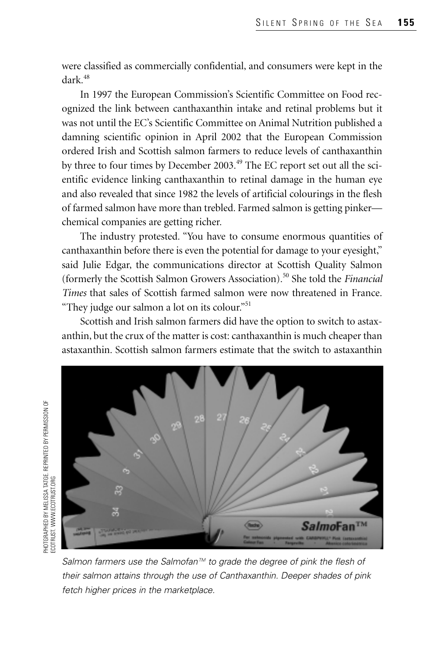were classified as commercially confidential, and consumers were kept in the dark.<sup>48</sup>

In 1997 the European Commission's Scientific Committee on Food recognized the link between canthaxanthin intake and retinal problems but it was not until the EC's Scientific Committee on Animal Nutrition published a damning scientific opinion in April 2002 that the European Commission ordered Irish and Scottish salmon farmers to reduce levels of canthaxanthin by three to four times by December 2003.<sup>49</sup> The EC report set out all the scientific evidence linking canthaxanthin to retinal damage in the human eye and also revealed that since 1982 the levels of artificial colourings in the flesh of farmed salmon have more than trebled. Farmed salmon is getting pinker chemical companies are getting richer.

The industry protested. "You have to consume enormous quantities of canthaxanthin before there is even the potential for damage to your eyesight," said Julie Edgar, the communications director at Scottish Quality Salmon (formerly the Scottish Salmon Growers Association).50 She told the *Financial Times* that sales of Scottish farmed salmon were now threatened in France. "They judge our salmon a lot on its colour."<sup>51</sup>

Scottish and Irish salmon farmers did have the option to switch to astaxanthin, but the crux of the matter is cost: canthaxanthin is much cheaper than astaxanthin. Scottish salmon farmers estimate that the switch to astaxanthin



Salmon farmers use the Salmofan<sup>™</sup> to grade the degree of pink the flesh of *their salmon attains through the use of Canthaxanthin. Deeper shades of pink fetch higher prices in the marketplace.*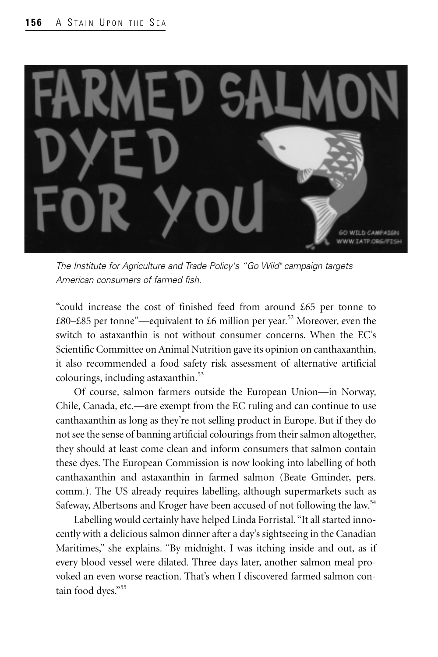

*The Institute for Agriculture and Trade Policy's "Go Wild" campaign targets American consumers of farmed fish.*

"could increase the cost of finished feed from around £65 per tonne to £80–£85 per tonne"—equivalent to £6 million per year.<sup>52</sup> Moreover, even the switch to astaxanthin is not without consumer concerns. When the EC's Scientific Committee on Animal Nutrition gave its opinion on canthaxanthin, it also recommended a food safety risk assessment of alternative artificial colourings, including astaxanthin.<sup>53</sup>

Of course, salmon farmers outside the European Union—in Norway, Chile, Canada, etc.—are exempt from the EC ruling and can continue to use canthaxanthin as long as they're not selling product in Europe. But if they do not see the sense of banning artificial colourings from their salmon altogether, they should at least come clean and inform consumers that salmon contain these dyes. The European Commission is now looking into labelling of both canthaxanthin and astaxanthin in farmed salmon (Beate Gminder, pers. comm.). The US already requires labelling, although supermarkets such as Safeway, Albertsons and Kroger have been accused of not following the law.<sup>54</sup>

Labelling would certainly have helped Linda Forristal. "It all started innocently with a delicious salmon dinner after a day's sightseeing in the Canadian Maritimes," she explains. "By midnight, I was itching inside and out, as if every blood vessel were dilated. Three days later, another salmon meal provoked an even worse reaction. That's when I discovered farmed salmon contain food dyes."<sup>55</sup>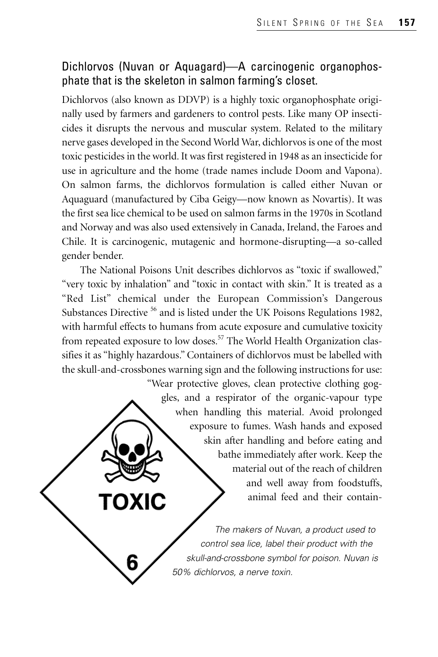## Dichlorvos (Nuvan or Aquagard)—A carcinogenic organophosphate that is the skeleton in salmon farming's closet.

Dichlorvos (also known as DDVP) is a highly toxic organophosphate originally used by farmers and gardeners to control pests. Like many OP insecticides it disrupts the nervous and muscular system. Related to the military nerve gases developed in the Second World War, dichlorvos is one of the most toxic pesticides in the world. It was first registered in 1948 as an insecticide for use in agriculture and the home (trade names include Doom and Vapona). On salmon farms, the dichlorvos formulation is called either Nuvan or Aquaguard (manufactured by Ciba Geigy—now known as Novartis). It was the first sea lice chemical to be used on salmon farms in the 1970s in Scotland and Norway and was also used extensively in Canada, Ireland, the Faroes and Chile. It is carcinogenic, mutagenic and hormone-disrupting—a so-called gender bender.

The National Poisons Unit describes dichlorvos as "toxic if swallowed," "very toxic by inhalation" and "toxic in contact with skin." It is treated as a "Red List" chemical under the European Commission's Dangerous Substances Directive <sup>56</sup> and is listed under the UK Poisons Regulations 1982, with harmful effects to humans from acute exposure and cumulative toxicity from repeated exposure to low doses.<sup>57</sup> The World Health Organization classifies it as "highly hazardous." Containers of dichlorvos must be labelled with the skull-and-crossbones warning sign and the following instructions for use:

OXIC

6

"Wear protective gloves, clean protective clothing goggles, and a respirator of the organic-vapour type when handling this material. Avoid prolonged exposure to fumes. Wash hands and exposed skin after handling and before eating and bathe immediately after work. Keep the material out of the reach of children and well away from foodstuffs, animal feed and their contain-

> *The makers of Nuvan, a product used to control sea lice, label their product with the skull-and-crossbone symbol for poison. Nuvan is 50% dichlorvos, a nerve toxin.*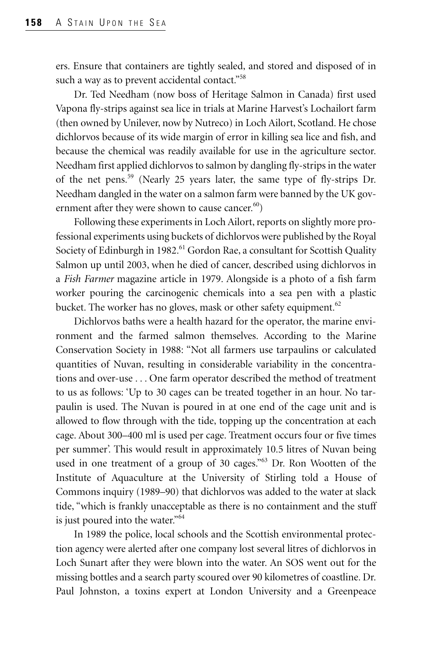ers. Ensure that containers are tightly sealed, and stored and disposed of in such a way as to prevent accidental contact."<sup>58</sup>

Dr. Ted Needham (now boss of Heritage Salmon in Canada) first used Vapona fly-strips against sea lice in trials at Marine Harvest's Lochailort farm (then owned by Unilever, now by Nutreco) in Loch Ailort, Scotland. He chose dichlorvos because of its wide margin of error in killing sea lice and fish, and because the chemical was readily available for use in the agriculture sector. Needham first applied dichlorvos to salmon by dangling fly-strips in the water of the net pens.<sup>59</sup> (Nearly 25 years later, the same type of fly-strips Dr. Needham dangled in the water on a salmon farm were banned by the UK government after they were shown to cause cancer. $60$ )

Following these experiments in Loch Ailort, reports on slightly more professional experiments using buckets of dichlorvos were published by the Royal Society of Edinburgh in 1982.<sup>61</sup> Gordon Rae, a consultant for Scottish Quality Salmon up until 2003, when he died of cancer, described using dichlorvos in a *Fish Farmer* magazine article in 1979. Alongside is a photo of a fish farm worker pouring the carcinogenic chemicals into a sea pen with a plastic bucket. The worker has no gloves, mask or other safety equipment.<sup>62</sup>

Dichlorvos baths were a health hazard for the operator, the marine environment and the farmed salmon themselves. According to the Marine Conservation Society in 1988: "Not all farmers use tarpaulins or calculated quantities of Nuvan, resulting in considerable variability in the concentrations and over-use . . . One farm operator described the method of treatment to us as follows: 'Up to 30 cages can be treated together in an hour. No tarpaulin is used. The Nuvan is poured in at one end of the cage unit and is allowed to flow through with the tide, topping up the concentration at each cage. About 300–400 ml is used per cage. Treatment occurs four or five times per summer'. This would result in approximately 10.5 litres of Nuvan being used in one treatment of a group of 30 cages."<sup>63</sup> Dr. Ron Wootten of the Institute of Aquaculture at the University of Stirling told a House of Commons inquiry (1989–90) that dichlorvos was added to the water at slack tide, "which is frankly unacceptable as there is no containment and the stuff is just poured into the water."<sup>64</sup>

In 1989 the police, local schools and the Scottish environmental protection agency were alerted after one company lost several litres of dichlorvos in Loch Sunart after they were blown into the water. An SOS went out for the missing bottles and a search party scoured over 90 kilometres of coastline. Dr. Paul Johnston, a toxins expert at London University and a Greenpeace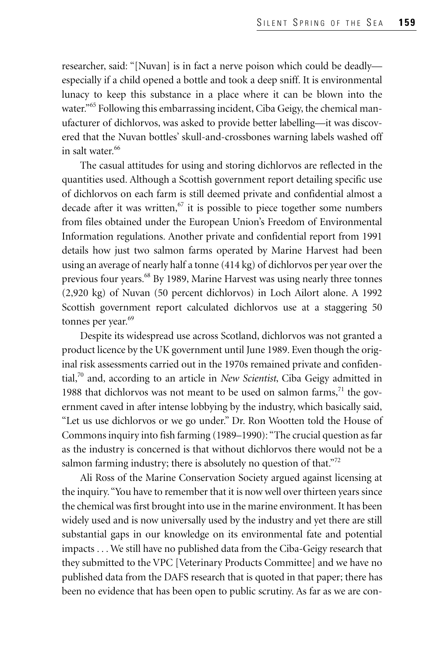researcher, said: "[Nuvan] is in fact a nerve poison which could be deadly especially if a child opened a bottle and took a deep sniff. It is environmental lunacy to keep this substance in a place where it can be blown into the water."<sup>65</sup> Following this embarrassing incident, Ciba Geigy, the chemical manufacturer of dichlorvos, was asked to provide better labelling—it was discovered that the Nuvan bottles' skull-and-crossbones warning labels washed off in salt water.<sup>66</sup>

The casual attitudes for using and storing dichlorvos are reflected in the quantities used. Although a Scottish government report detailing specific use of dichlorvos on each farm is still deemed private and confidential almost a decade after it was written,<sup>67</sup> it is possible to piece together some numbers from files obtained under the European Union's Freedom of Environmental Information regulations. Another private and confidential report from 1991 details how just two salmon farms operated by Marine Harvest had been using an average of nearly half a tonne (414 kg) of dichlorvos per year over the previous four years.<sup>68</sup> By 1989, Marine Harvest was using nearly three tonnes (2,920 kg) of Nuvan (50 percent dichlorvos) in Loch Ailort alone. A 1992 Scottish government report calculated dichlorvos use at a staggering 50 tonnes per year.<sup>69</sup>

Despite its widespread use across Scotland, dichlorvos was not granted a product licence by the UK government until June 1989. Even though the original risk assessments carried out in the 1970s remained private and confidential,70 and, according to an article in *New Scientist*, Ciba Geigy admitted in 1988 that dichlorvos was not meant to be used on salmon farms, $^{71}$  the government caved in after intense lobbying by the industry, which basically said, "Let us use dichlorvos or we go under." Dr. Ron Wootten told the House of Commons inquiry into fish farming (1989–1990): "The crucial question as far as the industry is concerned is that without dichlorvos there would not be a salmon farming industry; there is absolutely no question of that."<sup>72</sup>

Ali Ross of the Marine Conservation Society argued against licensing at the inquiry."You have to remember that it is now well over thirteen years since the chemical was first brought into use in the marine environment. It has been widely used and is now universally used by the industry and yet there are still substantial gaps in our knowledge on its environmental fate and potential impacts . . . We still have no published data from the Ciba-Geigy research that they submitted to the VPC [Veterinary Products Committee] and we have no published data from the DAFS research that is quoted in that paper; there has been no evidence that has been open to public scrutiny. As far as we are con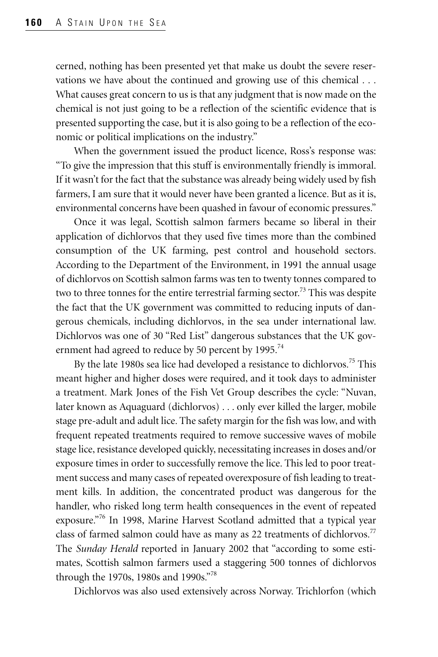cerned, nothing has been presented yet that make us doubt the severe reservations we have about the continued and growing use of this chemical . . . What causes great concern to us is that any judgment that is now made on the chemical is not just going to be a reflection of the scientific evidence that is presented supporting the case, but it is also going to be a reflection of the economic or political implications on the industry."

When the government issued the product licence, Ross's response was: "To give the impression that this stuff is environmentally friendly is immoral. If it wasn't for the fact that the substance was already being widely used by fish farmers, I am sure that it would never have been granted a licence. But as it is, environmental concerns have been quashed in favour of economic pressures."

Once it was legal, Scottish salmon farmers became so liberal in their application of dichlorvos that they used five times more than the combined consumption of the UK farming, pest control and household sectors. According to the Department of the Environment, in 1991 the annual usage of dichlorvos on Scottish salmon farms was ten to twenty tonnes compared to two to three tonnes for the entire terrestrial farming sector.<sup>73</sup> This was despite the fact that the UK government was committed to reducing inputs of dangerous chemicals, including dichlorvos, in the sea under international law. Dichlorvos was one of 30 "Red List" dangerous substances that the UK government had agreed to reduce by 50 percent by 1995.<sup>74</sup>

By the late 1980s sea lice had developed a resistance to dichlorvos.<sup>75</sup> This meant higher and higher doses were required, and it took days to administer a treatment. Mark Jones of the Fish Vet Group describes the cycle: "Nuvan, later known as Aquaguard (dichlorvos) . . . only ever killed the larger, mobile stage pre-adult and adult lice. The safety margin for the fish was low, and with frequent repeated treatments required to remove successive waves of mobile stage lice, resistance developed quickly, necessitating increases in doses and/or exposure times in order to successfully remove the lice. This led to poor treatment success and many cases of repeated overexposure of fish leading to treatment kills. In addition, the concentrated product was dangerous for the handler, who risked long term health consequences in the event of repeated exposure."<sup>76</sup> In 1998, Marine Harvest Scotland admitted that a typical year class of farmed salmon could have as many as 22 treatments of dichlorvos.<sup>77</sup> The *Sunday Herald* reported in January 2002 that "according to some estimates, Scottish salmon farmers used a staggering 500 tonnes of dichlorvos through the 1970s, 1980s and 1990s."<sup>78</sup>

Dichlorvos was also used extensively across Norway. Trichlorfon (which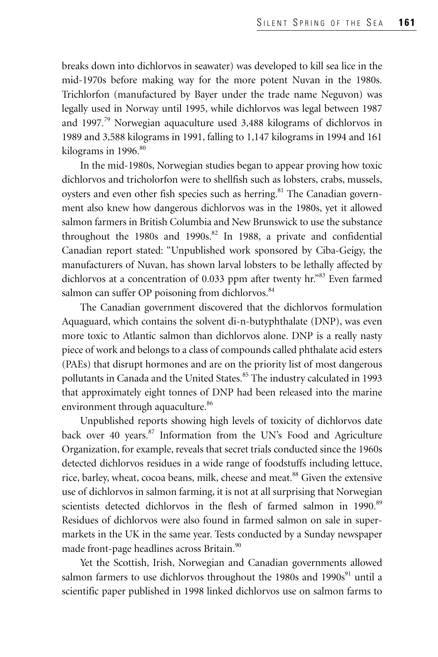breaks down into dichlorvos in seawater) was developed to kill sea lice in the mid-1970s before making way for the more potent Nuvan in the 1980s. Trichlorfon (manufactured by Bayer under the trade name Neguvon) was legally used in Norway until 1995, while dichlorvos was legal between 1987 and 1997.<sup>79</sup> Norwegian aquaculture used 3,488 kilograms of dichlorvos in 1989 and 3,588 kilograms in 1991, falling to 1,147 kilograms in 1994 and 161 kilograms in  $1996$ .<sup>80</sup>

In the mid-1980s, Norwegian studies began to appear proving how toxic dichlorvos and tricholorfon were to shellfish such as lobsters, crabs, mussels, oysters and even other fish species such as herring.<sup>81</sup> The Canadian government also knew how dangerous dichlorvos was in the 1980s, yet it allowed salmon farmers in British Columbia and New Brunswick to use the substance throughout the 1980s and 1990s.<sup>82</sup> In 1988, a private and confidential Canadian report stated: "Unpublished work sponsored by Ciba-Geigy, the manufacturers of Nuvan, has shown larval lobsters to be lethally affected by dichlorvos at a concentration of 0.033 ppm after twenty hr.<sup>883</sup> Even farmed salmon can suffer OP poisoning from dichlorvos.<sup>84</sup>

The Canadian government discovered that the dichlorvos formulation Aquaguard, which contains the solvent di-n-butyphthalate (DNP), was even more toxic to Atlantic salmon than dichlorvos alone. DNP is a really nasty piece of work and belongs to a class of compounds called phthalate acid esters (PAEs) that disrupt hormones and are on the priority list of most dangerous pollutants in Canada and the United States.<sup>85</sup> The industry calculated in 1993 that approximately eight tonnes of DNP had been released into the marine environment through aquaculture.<sup>86</sup>

Unpublished reports showing high levels of toxicity of dichlorvos date back over 40 years.<sup>87</sup> Information from the UN's Food and Agriculture Organization, for example, reveals that secret trials conducted since the 1960s detected dichlorvos residues in a wide range of foodstuffs including lettuce, rice, barley, wheat, cocoa beans, milk, cheese and meat.<sup>88</sup> Given the extensive use of dichlorvos in salmon farming, it is not at all surprising that Norwegian scientists detected dichlorvos in the flesh of farmed salmon in 1990.<sup>89</sup> Residues of dichlorvos were also found in farmed salmon on sale in supermarkets in the UK in the same year. Tests conducted by a Sunday newspaper made front-page headlines across Britain.<sup>90</sup>

Yet the Scottish, Irish, Norwegian and Canadian governments allowed salmon farmers to use dichlorvos throughout the 1980s and 1990s<sup>91</sup> until a scientific paper published in 1998 linked dichlorvos use on salmon farms to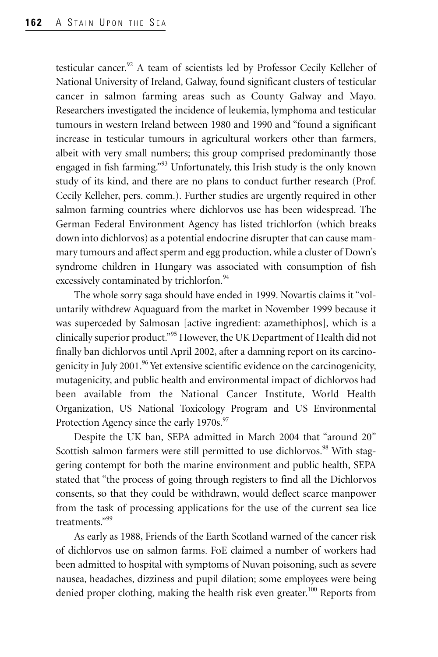testicular cancer.<sup>92</sup> A team of scientists led by Professor Cecily Kelleher of National University of Ireland, Galway, found significant clusters of testicular cancer in salmon farming areas such as County Galway and Mayo. Researchers investigated the incidence of leukemia, lymphoma and testicular tumours in western Ireland between 1980 and 1990 and "found a significant increase in testicular tumours in agricultural workers other than farmers, albeit with very small numbers; this group comprised predominantly those engaged in fish farming."93 Unfortunately, this Irish study is the only known study of its kind, and there are no plans to conduct further research (Prof. Cecily Kelleher, pers. comm.). Further studies are urgently required in other salmon farming countries where dichlorvos use has been widespread. The German Federal Environment Agency has listed trichlorfon (which breaks down into dichlorvos) as a potential endocrine disrupter that can cause mammary tumours and affect sperm and egg production, while a cluster of Down's syndrome children in Hungary was associated with consumption of fish excessively contaminated by trichlorfon.<sup>94</sup>

The whole sorry saga should have ended in 1999. Novartis claims it "voluntarily withdrew Aquaguard from the market in November 1999 because it was superceded by Salmosan [active ingredient: azamethiphos], which is a clinically superior product."<sup>95</sup> However, the UK Department of Health did not finally ban dichlorvos until April 2002, after a damning report on its carcinogenicity in July 2001.<sup>96</sup> Yet extensive scientific evidence on the carcinogenicity, mutagenicity, and public health and environmental impact of dichlorvos had been available from the National Cancer Institute, World Health Organization, US National Toxicology Program and US Environmental Protection Agency since the early 1970s.<sup>97</sup>

Despite the UK ban, SEPA admitted in March 2004 that "around 20" Scottish salmon farmers were still permitted to use dichlorvos.<sup>98</sup> With staggering contempt for both the marine environment and public health, SEPA stated that "the process of going through registers to find all the Dichlorvos consents, so that they could be withdrawn, would deflect scarce manpower from the task of processing applications for the use of the current sea lice treatments."99

As early as 1988, Friends of the Earth Scotland warned of the cancer risk of dichlorvos use on salmon farms. FoE claimed a number of workers had been admitted to hospital with symptoms of Nuvan poisoning, such as severe nausea, headaches, dizziness and pupil dilation; some employees were being denied proper clothing, making the health risk even greater.<sup>100</sup> Reports from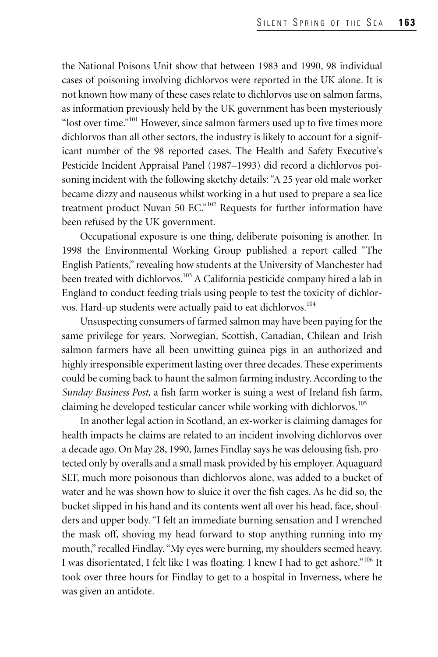the National Poisons Unit show that between 1983 and 1990, 98 individual cases of poisoning involving dichlorvos were reported in the UK alone. It is not known how many of these cases relate to dichlorvos use on salmon farms, as information previously held by the UK government has been mysteriously "lost over time."<sup>101</sup> However, since salmon farmers used up to five times more dichlorvos than all other sectors, the industry is likely to account for a significant number of the 98 reported cases. The Health and Safety Executive's Pesticide Incident Appraisal Panel (1987–1993) did record a dichlorvos poisoning incident with the following sketchy details: "A 25 year old male worker became dizzy and nauseous whilst working in a hut used to prepare a sea lice treatment product Nuvan 50 EC."<sup>102</sup> Requests for further information have been refused by the UK government.

Occupational exposure is one thing, deliberate poisoning is another. In 1998 the Environmental Working Group published a report called "The English Patients," revealing how students at the University of Manchester had been treated with dichlorvos.<sup>103</sup> A California pesticide company hired a lab in England to conduct feeding trials using people to test the toxicity of dichlorvos. Hard-up students were actually paid to eat dichlorvos.<sup>104</sup>

Unsuspecting consumers of farmed salmon may have been paying for the same privilege for years. Norwegian, Scottish, Canadian, Chilean and Irish salmon farmers have all been unwitting guinea pigs in an authorized and highly irresponsible experiment lasting over three decades. These experiments could be coming back to haunt the salmon farming industry. According to the *Sunday Business Post,* a fish farm worker is suing a west of Ireland fish farm, claiming he developed testicular cancer while working with dichlorvos.<sup>105</sup>

In another legal action in Scotland, an ex-worker is claiming damages for health impacts he claims are related to an incident involving dichlorvos over a decade ago. On May 28, 1990, James Findlay says he was delousing fish, protected only by overalls and a small mask provided by his employer. Aquaguard SLT, much more poisonous than dichlorvos alone, was added to a bucket of water and he was shown how to sluice it over the fish cages. As he did so, the bucket slipped in his hand and its contents went all over his head, face, shoulders and upper body. "I felt an immediate burning sensation and I wrenched the mask off, shoving my head forward to stop anything running into my mouth," recalled Findlay. "My eyes were burning, my shoulders seemed heavy. I was disorientated, I felt like I was floating. I knew I had to get ashore."106 It took over three hours for Findlay to get to a hospital in Inverness, where he was given an antidote.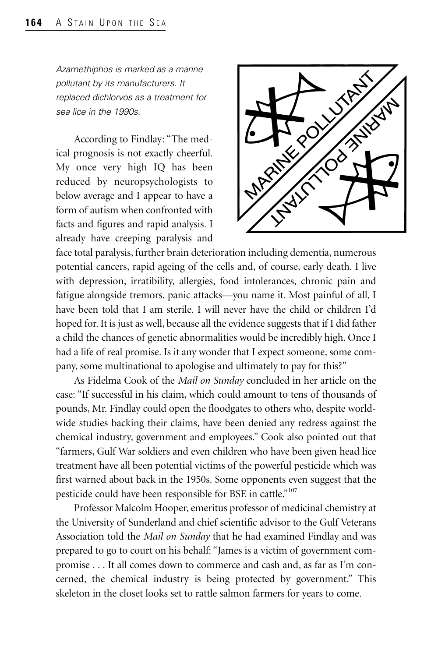*Azamethiphos is marked as a marine pollutant by its manufacturers. It replaced dichlorvos as a treatment for sea lice in the 1990s.*

According to Findlay: "The medical prognosis is not exactly cheerful. My once very high IQ has been reduced by neuropsychologists to below average and I appear to have a form of autism when confronted with facts and figures and rapid analysis. I already have creeping paralysis and



face total paralysis, further brain deterioration including dementia, numerous potential cancers, rapid ageing of the cells and, of course, early death. I live with depression, irratibility, allergies, food intolerances, chronic pain and fatigue alongside tremors, panic attacks—you name it. Most painful of all, I have been told that I am sterile. I will never have the child or children I'd hoped for. It is just as well, because all the evidence suggests that if I did father a child the chances of genetic abnormalities would be incredibly high. Once I had a life of real promise. Is it any wonder that I expect someone, some company, some multinational to apologise and ultimately to pay for this?"

As Fidelma Cook of the *Mail on Sunday* concluded in her article on the case: "If successful in his claim, which could amount to tens of thousands of pounds, Mr. Findlay could open the floodgates to others who, despite worldwide studies backing their claims, have been denied any redress against the chemical industry, government and employees." Cook also pointed out that "farmers, Gulf War soldiers and even children who have been given head lice treatment have all been potential victims of the powerful pesticide which was first warned about back in the 1950s. Some opponents even suggest that the pesticide could have been responsible for BSE in cattle."<sup>107</sup>

Professor Malcolm Hooper, emeritus professor of medicinal chemistry at the University of Sunderland and chief scientific advisor to the Gulf Veterans Association told the *Mail on Sunday* that he had examined Findlay and was prepared to go to court on his behalf: "James is a victim of government compromise . . . It all comes down to commerce and cash and, as far as I'm concerned, the chemical industry is being protected by government." This skeleton in the closet looks set to rattle salmon farmers for years to come.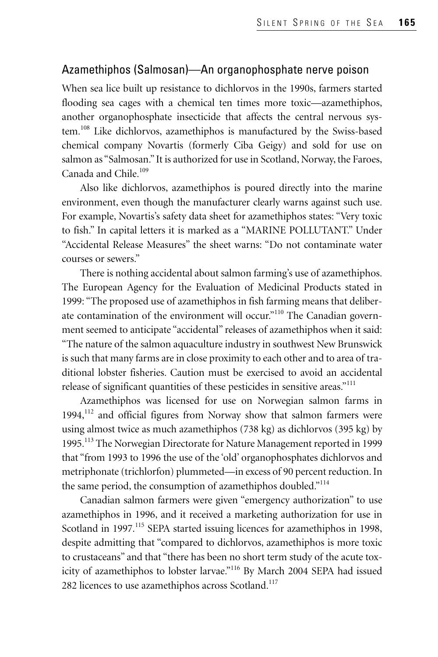#### Azamethiphos (Salmosan)—An organophosphate nerve poison

When sea lice built up resistance to dichlorvos in the 1990s, farmers started flooding sea cages with a chemical ten times more toxic—azamethiphos, another organophosphate insecticide that affects the central nervous system.<sup>108</sup> Like dichlorvos, azamethiphos is manufactured by the Swiss-based chemical company Novartis (formerly Ciba Geigy) and sold for use on salmon as "Salmosan." It is authorized for use in Scotland, Norway, the Faroes, Canada and Chile.<sup>109</sup>

Also like dichlorvos, azamethiphos is poured directly into the marine environment, even though the manufacturer clearly warns against such use. For example, Novartis's safety data sheet for azamethiphos states: "Very toxic to fish." In capital letters it is marked as a "MARINE POLLUTANT." Under "Accidental Release Measures" the sheet warns: "Do not contaminate water courses or sewers."

There is nothing accidental about salmon farming's use of azamethiphos. The European Agency for the Evaluation of Medicinal Products stated in 1999: "The proposed use of azamethiphos in fish farming means that deliberate contamination of the environment will occur."<sup>110</sup> The Canadian government seemed to anticipate "accidental" releases of azamethiphos when it said: "The nature of the salmon aquaculture industry in southwest New Brunswick is such that many farms are in close proximity to each other and to area of traditional lobster fisheries. Caution must be exercised to avoid an accidental release of significant quantities of these pesticides in sensitive areas."<sup>111</sup>

Azamethiphos was licensed for use on Norwegian salmon farms in 1994,<sup>112</sup> and official figures from Norway show that salmon farmers were using almost twice as much azamethiphos (738 kg) as dichlorvos (395 kg) by 1995.113 The Norwegian Directorate for Nature Management reported in 1999 that "from 1993 to 1996 the use of the 'old' organophosphates dichlorvos and metriphonate (trichlorfon) plummeted—in excess of 90 percent reduction. In the same period, the consumption of azamethiphos doubled."<sup>114</sup>

Canadian salmon farmers were given "emergency authorization" to use azamethiphos in 1996, and it received a marketing authorization for use in Scotland in 1997.<sup>115</sup> SEPA started issuing licences for azamethiphos in 1998, despite admitting that "compared to dichlorvos, azamethiphos is more toxic to crustaceans" and that "there has been no short term study of the acute toxicity of azamethiphos to lobster larvae."<sup>116</sup> By March 2004 SEPA had issued 282 licences to use azamethiphos across Scotland.<sup>117</sup>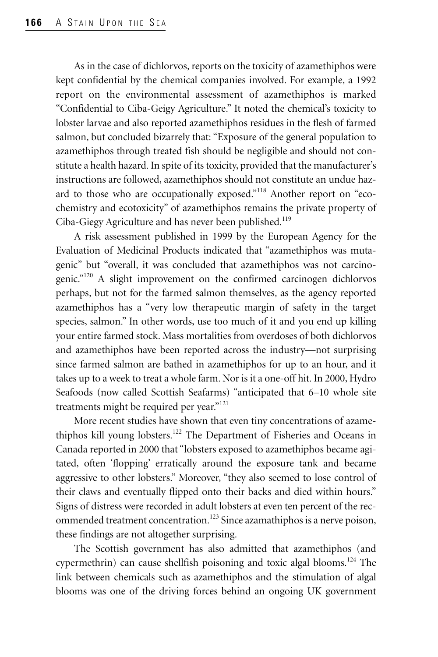As in the case of dichlorvos, reports on the toxicity of azamethiphos were kept confidential by the chemical companies involved. For example, a 1992 report on the environmental assessment of azamethiphos is marked "Confidential to Ciba-Geigy Agriculture." It noted the chemical's toxicity to lobster larvae and also reported azamethiphos residues in the flesh of farmed salmon, but concluded bizarrely that: "Exposure of the general population to azamethiphos through treated fish should be negligible and should not constitute a health hazard. In spite of its toxicity, provided that the manufacturer's instructions are followed, azamethiphos should not constitute an undue hazard to those who are occupationally exposed."118 Another report on "ecochemistry and ecotoxicity" of azamethiphos remains the private property of Ciba-Giegy Agriculture and has never been published.<sup>119</sup>

A risk assessment published in 1999 by the European Agency for the Evaluation of Medicinal Products indicated that "azamethiphos was mutagenic" but "overall, it was concluded that azamethiphos was not carcinogenic."120 A slight improvement on the confirmed carcinogen dichlorvos perhaps, but not for the farmed salmon themselves, as the agency reported azamethiphos has a "very low therapeutic margin of safety in the target species, salmon." In other words, use too much of it and you end up killing your entire farmed stock. Mass mortalities from overdoses of both dichlorvos and azamethiphos have been reported across the industry—not surprising since farmed salmon are bathed in azamethiphos for up to an hour, and it takes up to a week to treat a whole farm. Nor is it a one-off hit. In 2000, Hydro Seafoods (now called Scottish Seafarms) "anticipated that 6–10 whole site treatments might be required per year."<sup>121</sup>

More recent studies have shown that even tiny concentrations of azamethiphos kill young lobsters.<sup>122</sup> The Department of Fisheries and Oceans in Canada reported in 2000 that "lobsters exposed to azamethiphos became agitated, often 'flopping' erratically around the exposure tank and became aggressive to other lobsters." Moreover, "they also seemed to lose control of their claws and eventually flipped onto their backs and died within hours." Signs of distress were recorded in adult lobsters at even ten percent of the recommended treatment concentration.<sup>123</sup> Since azamathiphos is a nerve poison, these findings are not altogether surprising.

The Scottish government has also admitted that azamethiphos (and cypermethrin) can cause shellfish poisoning and toxic algal blooms.<sup>124</sup> The link between chemicals such as azamethiphos and the stimulation of algal blooms was one of the driving forces behind an ongoing UK government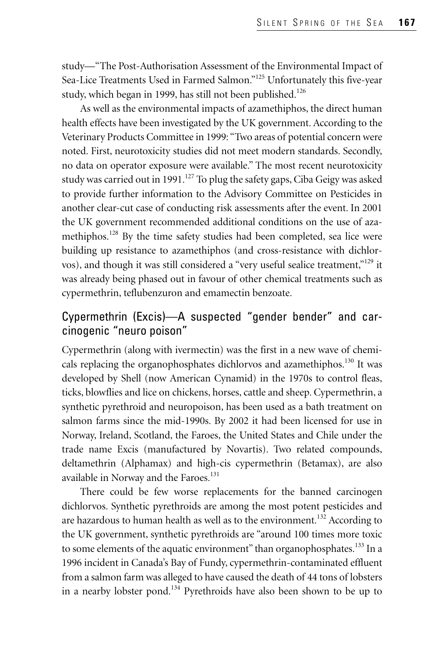study—"The Post-Authorisation Assessment of the Environmental Impact of Sea-Lice Treatments Used in Farmed Salmon."<sup>125</sup> Unfortunately this five-year study, which began in 1999, has still not been published.<sup>126</sup>

As well as the environmental impacts of azamethiphos, the direct human health effects have been investigated by the UK government. According to the Veterinary Products Committee in 1999: "Two areas of potential concern were noted. First, neurotoxicity studies did not meet modern standards. Secondly, no data on operator exposure were available." The most recent neurotoxicity study was carried out in 1991.<sup>127</sup> To plug the safety gaps, Ciba Geigy was asked to provide further information to the Advisory Committee on Pesticides in another clear-cut case of conducting risk assessments after the event. In 2001 the UK government recommended additional conditions on the use of azamethiphos.<sup>128</sup> By the time safety studies had been completed, sea lice were building up resistance to azamethiphos (and cross-resistance with dichlorvos), and though it was still considered a "very useful sealice treatment,"<sup>129</sup> it was already being phased out in favour of other chemical treatments such as cypermethrin, teflubenzuron and emamectin benzoate.

### Cypermethrin (Excis)—A suspected "gender bender" and carcinogenic "neuro poison"

Cypermethrin (along with ivermectin) was the first in a new wave of chemicals replacing the organophosphates dichlorvos and azamethiphos.<sup>130</sup> It was developed by Shell (now American Cynamid) in the 1970s to control fleas, ticks, blowflies and lice on chickens, horses, cattle and sheep. Cypermethrin, a synthetic pyrethroid and neuropoison, has been used as a bath treatment on salmon farms since the mid-1990s. By 2002 it had been licensed for use in Norway, Ireland, Scotland, the Faroes, the United States and Chile under the trade name Excis (manufactured by Novartis). Two related compounds, deltamethrin (Alphamax) and high-cis cypermethrin (Betamax), are also available in Norway and the Faroes.<sup>131</sup>

There could be few worse replacements for the banned carcinogen dichlorvos. Synthetic pyrethroids are among the most potent pesticides and are hazardous to human health as well as to the environment.<sup>132</sup> According to the UK government, synthetic pyrethroids are "around 100 times more toxic to some elements of the aquatic environment" than organophosphates.<sup>133</sup> In a 1996 incident in Canada's Bay of Fundy, cypermethrin-contaminated effluent from a salmon farm was alleged to have caused the death of 44 tons of lobsters in a nearby lobster pond.<sup>134</sup> Pyrethroids have also been shown to be up to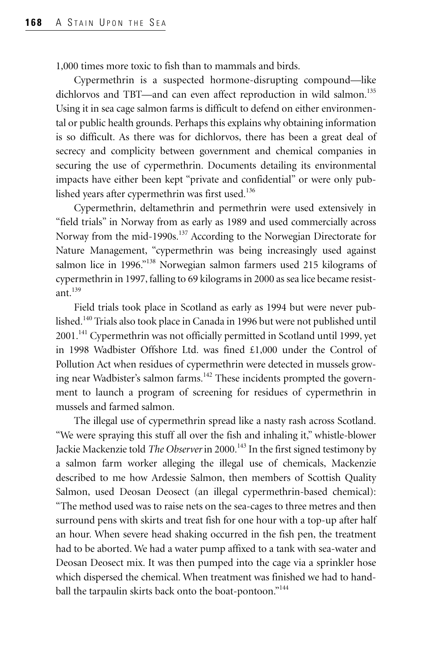1,000 times more toxic to fish than to mammals and birds.

Cypermethrin is a suspected hormone-disrupting compound—like dichlorvos and TBT—and can even affect reproduction in wild salmon.<sup>135</sup> Using it in sea cage salmon farms is difficult to defend on either environmental or public health grounds. Perhaps this explains why obtaining information is so difficult. As there was for dichlorvos, there has been a great deal of secrecy and complicity between government and chemical companies in securing the use of cypermethrin. Documents detailing its environmental impacts have either been kept "private and confidential" or were only published years after cypermethrin was first used.<sup>136</sup>

Cypermethrin, deltamethrin and permethrin were used extensively in "field trials" in Norway from as early as 1989 and used commercially across Norway from the mid-1990s.<sup>137</sup> According to the Norwegian Directorate for Nature Management, "cypermethrin was being increasingly used against salmon lice in 1996."<sup>138</sup> Norwegian salmon farmers used 215 kilograms of cypermethrin in 1997, falling to 69 kilograms in 2000 as sea lice became resistant $139$ 

Field trials took place in Scotland as early as 1994 but were never published.<sup>140</sup> Trials also took place in Canada in 1996 but were not published until 2001.141 Cypermethrin was not officially permitted in Scotland until 1999, yet in 1998 Wadbister Offshore Ltd. was fined £1,000 under the Control of Pollution Act when residues of cypermethrin were detected in mussels growing near Wadbister's salmon farms.<sup>142</sup> These incidents prompted the government to launch a program of screening for residues of cypermethrin in mussels and farmed salmon.

The illegal use of cypermethrin spread like a nasty rash across Scotland. "We were spraying this stuff all over the fish and inhaling it," whistle-blower Jackie Mackenzie told *The Observer* in 2000.<sup>143</sup> In the first signed testimony by a salmon farm worker alleging the illegal use of chemicals, Mackenzie described to me how Ardessie Salmon, then members of Scottish Quality Salmon, used Deosan Deosect (an illegal cypermethrin-based chemical): "The method used was to raise nets on the sea-cages to three metres and then surround pens with skirts and treat fish for one hour with a top-up after half an hour. When severe head shaking occurred in the fish pen, the treatment had to be aborted. We had a water pump affixed to a tank with sea-water and Deosan Deosect mix. It was then pumped into the cage via a sprinkler hose which dispersed the chemical. When treatment was finished we had to handball the tarpaulin skirts back onto the boat-pontoon."<sup>144</sup>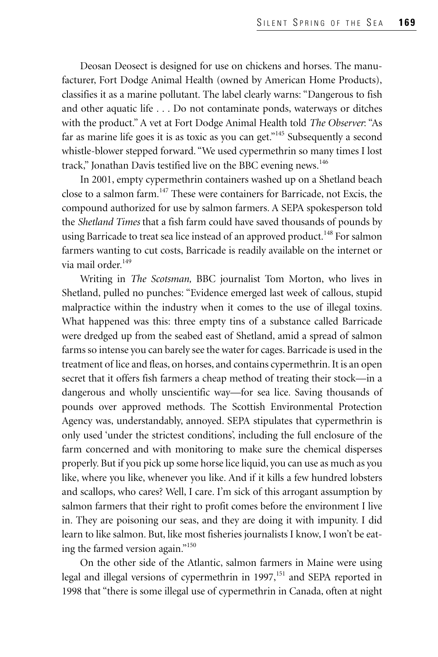Deosan Deosect is designed for use on chickens and horses. The manufacturer, Fort Dodge Animal Health (owned by American Home Products), classifies it as a marine pollutant. The label clearly warns: "Dangerous to fish and other aquatic life . . . Do not contaminate ponds, waterways or ditches with the product." A vet at Fort Dodge Animal Health told *The Observer*: "As far as marine life goes it is as toxic as you can get."145 Subsequently a second whistle-blower stepped forward. "We used cypermethrin so many times I lost track," Jonathan Davis testified live on the BBC evening news.<sup>146</sup>

In 2001, empty cypermethrin containers washed up on a Shetland beach close to a salmon farm.<sup>147</sup> These were containers for Barricade, not Excis, the compound authorized for use by salmon farmers. A SEPA spokesperson told the *Shetland Times* that a fish farm could have saved thousands of pounds by using Barricade to treat sea lice instead of an approved product.<sup>148</sup> For salmon farmers wanting to cut costs, Barricade is readily available on the internet or via mail order.<sup>149</sup>

Writing in *The Scotsman,* BBC journalist Tom Morton, who lives in Shetland, pulled no punches: "Evidence emerged last week of callous, stupid malpractice within the industry when it comes to the use of illegal toxins. What happened was this: three empty tins of a substance called Barricade were dredged up from the seabed east of Shetland, amid a spread of salmon farms so intense you can barely see the water for cages. Barricade is used in the treatment of lice and fleas, on horses, and contains cypermethrin. It is an open secret that it offers fish farmers a cheap method of treating their stock—in a dangerous and wholly unscientific way—for sea lice. Saving thousands of pounds over approved methods. The Scottish Environmental Protection Agency was, understandably, annoyed. SEPA stipulates that cypermethrin is only used 'under the strictest conditions', including the full enclosure of the farm concerned and with monitoring to make sure the chemical disperses properly. But if you pick up some horse lice liquid, you can use as much as you like, where you like, whenever you like. And if it kills a few hundred lobsters and scallops, who cares? Well, I care. I'm sick of this arrogant assumption by salmon farmers that their right to profit comes before the environment I live in. They are poisoning our seas, and they are doing it with impunity. I did learn to like salmon. But, like most fisheries journalists I know, I won't be eating the farmed version again."<sup>150</sup>

On the other side of the Atlantic, salmon farmers in Maine were using legal and illegal versions of cypermethrin in 1997,<sup>151</sup> and SEPA reported in 1998 that "there is some illegal use of cypermethrin in Canada, often at night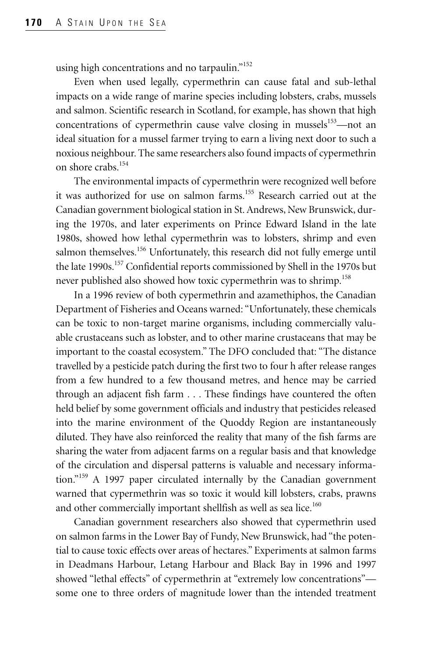using high concentrations and no tarpaulin."152

Even when used legally, cypermethrin can cause fatal and sub-lethal impacts on a wide range of marine species including lobsters, crabs, mussels and salmon. Scientific research in Scotland, for example, has shown that high concentrations of cypermethrin cause valve closing in mussels<sup>153</sup>—not an ideal situation for a mussel farmer trying to earn a living next door to such a noxious neighbour. The same researchers also found impacts of cypermethrin on shore crabs.<sup>154</sup>

The environmental impacts of cypermethrin were recognized well before it was authorized for use on salmon farms.<sup>155</sup> Research carried out at the Canadian government biological station in St. Andrews, New Brunswick, during the 1970s, and later experiments on Prince Edward Island in the late 1980s, showed how lethal cypermethrin was to lobsters, shrimp and even salmon themselves.<sup>156</sup> Unfortunately, this research did not fully emerge until the late 1990s.<sup>157</sup> Confidential reports commissioned by Shell in the 1970s but never published also showed how toxic cypermethrin was to shrimp.<sup>158</sup>

In a 1996 review of both cypermethrin and azamethiphos, the Canadian Department of Fisheries and Oceans warned: "Unfortunately, these chemicals can be toxic to non-target marine organisms, including commercially valuable crustaceans such as lobster, and to other marine crustaceans that may be important to the coastal ecosystem." The DFO concluded that: "The distance travelled by a pesticide patch during the first two to four h after release ranges from a few hundred to a few thousand metres, and hence may be carried through an adjacent fish farm . . . These findings have countered the often held belief by some government officials and industry that pesticides released into the marine environment of the Quoddy Region are instantaneously diluted. They have also reinforced the reality that many of the fish farms are sharing the water from adjacent farms on a regular basis and that knowledge of the circulation and dispersal patterns is valuable and necessary information."159 A 1997 paper circulated internally by the Canadian government warned that cypermethrin was so toxic it would kill lobsters, crabs, prawns and other commercially important shellfish as well as sea lice.<sup>160</sup>

Canadian government researchers also showed that cypermethrin used on salmon farms in the Lower Bay of Fundy, New Brunswick, had "the potential to cause toxic effects over areas of hectares." Experiments at salmon farms in Deadmans Harbour, Letang Harbour and Black Bay in 1996 and 1997 showed "lethal effects" of cypermethrin at "extremely low concentrations" some one to three orders of magnitude lower than the intended treatment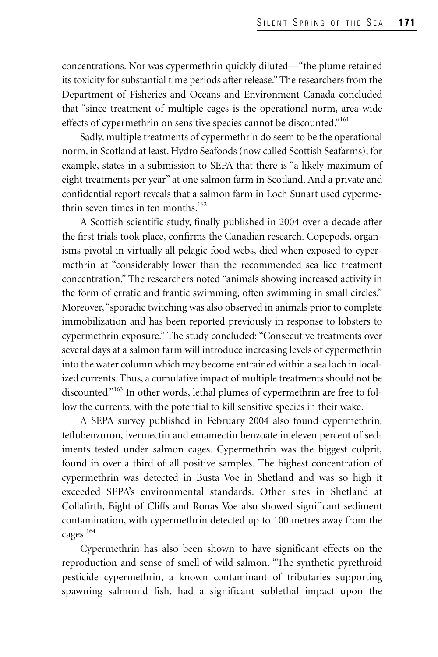concentrations. Nor was cypermethrin quickly diluted—"the plume retained its toxicity for substantial time periods after release." The researchers from the Department of Fisheries and Oceans and Environment Canada concluded that "since treatment of multiple cages is the operational norm, area-wide effects of cypermethrin on sensitive species cannot be discounted."<sup>161</sup>

Sadly, multiple treatments of cypermethrin do seem to be the operational norm, in Scotland at least. Hydro Seafoods (now called Scottish Seafarms), for example, states in a submission to SEPA that there is "a likely maximum of eight treatments per year" at one salmon farm in Scotland. And a private and confidential report reveals that a salmon farm in Loch Sunart used cypermethrin seven times in ten months.<sup>162</sup>

A Scottish scientific study, finally published in 2004 over a decade after the first trials took place, confirms the Canadian research. Copepods, organisms pivotal in virtually all pelagic food webs, died when exposed to cypermethrin at "considerably lower than the recommended sea lice treatment concentration." The researchers noted "animals showing increased activity in the form of erratic and frantic swimming, often swimming in small circles." Moreover, "sporadic twitching was also observed in animals prior to complete immobilization and has been reported previously in response to lobsters to cypermethrin exposure." The study concluded: "Consecutive treatments over several days at a salmon farm will introduce increasing levels of cypermethrin into the water column which may become entrained within a sea loch in localized currents. Thus, a cumulative impact of multiple treatments should not be discounted."<sup>163</sup> In other words, lethal plumes of cypermethrin are free to follow the currents, with the potential to kill sensitive species in their wake.

A SEPA survey published in February 2004 also found cypermethrin, teflubenzuron, ivermectin and emamectin benzoate in eleven percent of sediments tested under salmon cages. Cypermethrin was the biggest culprit, found in over a third of all positive samples. The highest concentration of cypermethrin was detected in Busta Voe in Shetland and was so high it exceeded SEPA's environmental standards. Other sites in Shetland at Collafirth, Bight of Cliffs and Ronas Voe also showed significant sediment contamination, with cypermethrin detected up to 100 metres away from the cages.164

Cypermethrin has also been shown to have significant effects on the reproduction and sense of smell of wild salmon. "The synthetic pyrethroid pesticide cypermethrin, a known contaminant of tributaries supporting spawning salmonid fish, had a significant sublethal impact upon the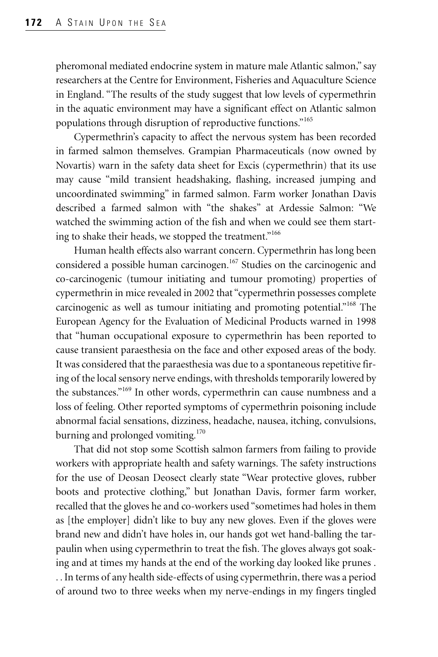pheromonal mediated endocrine system in mature male Atlantic salmon," say researchers at the Centre for Environment, Fisheries and Aquaculture Science in England. "The results of the study suggest that low levels of cypermethrin in the aquatic environment may have a significant effect on Atlantic salmon populations through disruption of reproductive functions."<sup>165</sup>

Cypermethrin's capacity to affect the nervous system has been recorded in farmed salmon themselves. Grampian Pharmaceuticals (now owned by Novartis) warn in the safety data sheet for Excis (cypermethrin) that its use may cause "mild transient headshaking, flashing, increased jumping and uncoordinated swimming" in farmed salmon. Farm worker Jonathan Davis described a farmed salmon with "the shakes" at Ardessie Salmon: "We watched the swimming action of the fish and when we could see them starting to shake their heads, we stopped the treatment."<sup>166</sup>

Human health effects also warrant concern. Cypermethrin has long been considered a possible human carcinogen.<sup>167</sup> Studies on the carcinogenic and co-carcinogenic (tumour initiating and tumour promoting) properties of cypermethrin in mice revealed in 2002 that "cypermethrin possesses complete carcinogenic as well as tumour initiating and promoting potential."<sup>168</sup> The European Agency for the Evaluation of Medicinal Products warned in 1998 that "human occupational exposure to cypermethrin has been reported to cause transient paraesthesia on the face and other exposed areas of the body. It was considered that the paraesthesia was due to a spontaneous repetitive firing of the local sensory nerve endings, with thresholds temporarily lowered by the substances."<sup>169</sup> In other words, cypermethrin can cause numbness and a loss of feeling. Other reported symptoms of cypermethrin poisoning include abnormal facial sensations, dizziness, headache, nausea, itching, convulsions, burning and prolonged vomiting.<sup>170</sup>

That did not stop some Scottish salmon farmers from failing to provide workers with appropriate health and safety warnings. The safety instructions for the use of Deosan Deosect clearly state "Wear protective gloves, rubber boots and protective clothing," but Jonathan Davis, former farm worker, recalled that the gloves he and co-workers used "sometimes had holes in them as [the employer] didn't like to buy any new gloves. Even if the gloves were brand new and didn't have holes in, our hands got wet hand-balling the tarpaulin when using cypermethrin to treat the fish. The gloves always got soaking and at times my hands at the end of the working day looked like prunes . . . In terms of any health side-effects of using cypermethrin, there was a period of around two to three weeks when my nerve-endings in my fingers tingled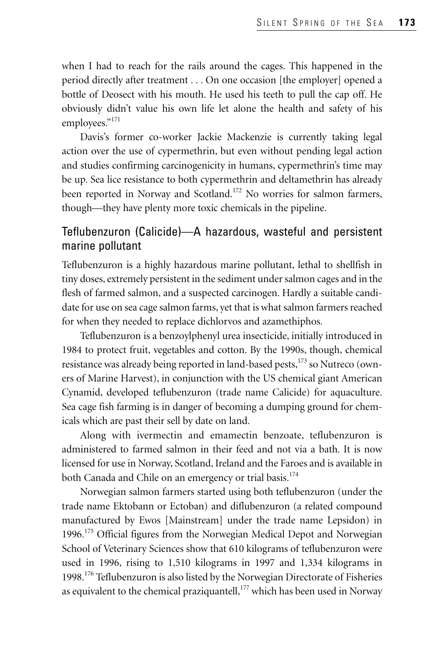when I had to reach for the rails around the cages. This happened in the period directly after treatment . . . On one occasion [the employer] opened a bottle of Deosect with his mouth. He used his teeth to pull the cap off. He obviously didn't value his own life let alone the health and safety of his employees."171

Davis's former co-worker Jackie Mackenzie is currently taking legal action over the use of cypermethrin, but even without pending legal action and studies confirming carcinogenicity in humans, cypermethrin's time may be up. Sea lice resistance to both cypermethrin and deltamethrin has already been reported in Norway and Scotland.<sup>172</sup> No worries for salmon farmers, though—they have plenty more toxic chemicals in the pipeline.

#### Teflubenzuron (Calicide)—A hazardous, wasteful and persistent marine pollutant

Teflubenzuron is a highly hazardous marine pollutant, lethal to shellfish in tiny doses, extremely persistent in the sediment under salmon cages and in the flesh of farmed salmon, and a suspected carcinogen. Hardly a suitable candidate for use on sea cage salmon farms, yet that is what salmon farmers reached for when they needed to replace dichlorvos and azamethiphos.

Teflubenzuron is a benzoylphenyl urea insecticide, initially introduced in 1984 to protect fruit, vegetables and cotton. By the 1990s, though, chemical resistance was already being reported in land-based pests,<sup>173</sup> so Nutreco (owners of Marine Harvest), in conjunction with the US chemical giant American Cynamid, developed teflubenzuron (trade name Calicide) for aquaculture. Sea cage fish farming is in danger of becoming a dumping ground for chemicals which are past their sell by date on land.

Along with ivermectin and emamectin benzoate, teflubenzuron is administered to farmed salmon in their feed and not via a bath. It is now licensed for use in Norway, Scotland, Ireland and the Faroes and is available in both Canada and Chile on an emergency or trial basis.<sup>174</sup>

Norwegian salmon farmers started using both teflubenzuron (under the trade name Ektobann or Ectoban) and diflubenzuron (a related compound manufactured by Ewos [Mainstream] under the trade name Lepsidon) in 1996.<sup>175</sup> Official figures from the Norwegian Medical Depot and Norwegian School of Veterinary Sciences show that 610 kilograms of teflubenzuron were used in 1996, rising to 1,510 kilograms in 1997 and 1,334 kilograms in 1998.<sup>176</sup> Teflubenzuron is also listed by the Norwegian Directorate of Fisheries as equivalent to the chemical praziquantell,<sup>177</sup> which has been used in Norway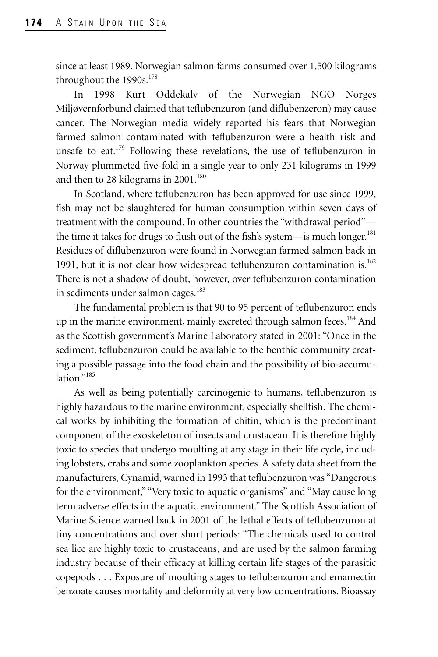since at least 1989. Norwegian salmon farms consumed over 1,500 kilograms throughout the  $1990s$ .<sup>178</sup>

In 1998 Kurt Oddekalv of the Norwegian NGO Norges Miljøvernforbund claimed that teflubenzuron (and diflubenzeron) may cause cancer. The Norwegian media widely reported his fears that Norwegian farmed salmon contaminated with teflubenzuron were a health risk and unsafe to eat.<sup>179</sup> Following these revelations, the use of teflubenzuron in Norway plummeted five-fold in a single year to only 231 kilograms in 1999 and then to 28 kilograms in 2001.<sup>180</sup>

In Scotland, where teflubenzuron has been approved for use since 1999, fish may not be slaughtered for human consumption within seven days of treatment with the compound. In other countries the "withdrawal period" the time it takes for drugs to flush out of the fish's system—is much longer.<sup>181</sup> Residues of diflubenzuron were found in Norwegian farmed salmon back in 1991, but it is not clear how widespread teflubenzuron contamination is.<sup>182</sup> There is not a shadow of doubt, however, over teflubenzuron contamination in sediments under salmon cages.<sup>183</sup>

The fundamental problem is that 90 to 95 percent of teflubenzuron ends up in the marine environment, mainly excreted through salmon feces.<sup>184</sup> And as the Scottish government's Marine Laboratory stated in 2001: "Once in the sediment, teflubenzuron could be available to the benthic community creating a possible passage into the food chain and the possibility of bio-accumulation."<sup>185</sup>

As well as being potentially carcinogenic to humans, teflubenzuron is highly hazardous to the marine environment, especially shellfish. The chemical works by inhibiting the formation of chitin, which is the predominant component of the exoskeleton of insects and crustacean. It is therefore highly toxic to species that undergo moulting at any stage in their life cycle, including lobsters, crabs and some zooplankton species. A safety data sheet from the manufacturers, Cynamid, warned in 1993 that teflubenzuron was "Dangerous for the environment," "Very toxic to aquatic organisms" and "May cause long term adverse effects in the aquatic environment." The Scottish Association of Marine Science warned back in 2001 of the lethal effects of teflubenzuron at tiny concentrations and over short periods: "The chemicals used to control sea lice are highly toxic to crustaceans, and are used by the salmon farming industry because of their efficacy at killing certain life stages of the parasitic copepods . . . Exposure of moulting stages to teflubenzuron and emamectin benzoate causes mortality and deformity at very low concentrations. Bioassay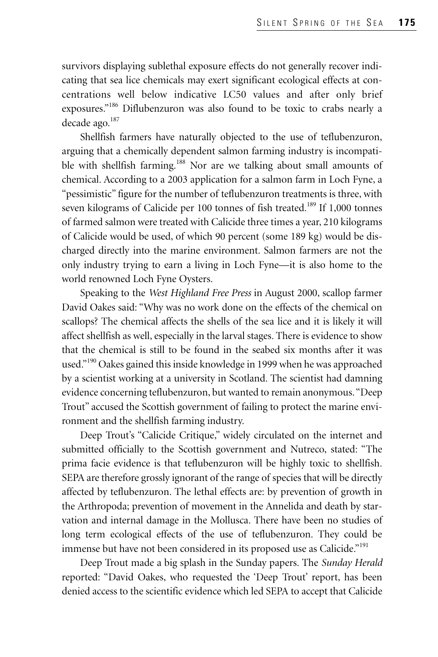survivors displaying sublethal exposure effects do not generally recover indicating that sea lice chemicals may exert significant ecological effects at concentrations well below indicative LC50 values and after only brief exposures."186 Diflubenzuron was also found to be toxic to crabs nearly a decade ago.<sup>187</sup>

Shellfish farmers have naturally objected to the use of teflubenzuron, arguing that a chemically dependent salmon farming industry is incompatible with shellfish farming.<sup>188</sup> Nor are we talking about small amounts of chemical. According to a 2003 application for a salmon farm in Loch Fyne, a "pessimistic" figure for the number of teflubenzuron treatments is three, with seven kilograms of Calicide per 100 tonnes of fish treated.<sup>189</sup> If 1,000 tonnes of farmed salmon were treated with Calicide three times a year, 210 kilograms of Calicide would be used, of which 90 percent (some 189 kg) would be discharged directly into the marine environment. Salmon farmers are not the only industry trying to earn a living in Loch Fyne—it is also home to the world renowned Loch Fyne Oysters.

Speaking to the *West Highland Free Press* in August 2000, scallop farmer David Oakes said: "Why was no work done on the effects of the chemical on scallops? The chemical affects the shells of the sea lice and it is likely it will affect shellfish as well, especially in the larval stages. There is evidence to show that the chemical is still to be found in the seabed six months after it was used."190 Oakes gained this inside knowledge in 1999 when he was approached by a scientist working at a university in Scotland. The scientist had damning evidence concerning teflubenzuron, but wanted to remain anonymous."Deep Trout" accused the Scottish government of failing to protect the marine environment and the shellfish farming industry.

Deep Trout's "Calicide Critique," widely circulated on the internet and submitted officially to the Scottish government and Nutreco, stated: "The prima facie evidence is that teflubenzuron will be highly toxic to shellfish. SEPA are therefore grossly ignorant of the range of species that will be directly affected by teflubenzuron. The lethal effects are: by prevention of growth in the Arthropoda; prevention of movement in the Annelida and death by starvation and internal damage in the Mollusca. There have been no studies of long term ecological effects of the use of teflubenzuron. They could be immense but have not been considered in its proposed use as Calicide."<sup>191</sup>

Deep Trout made a big splash in the Sunday papers. The *Sunday Herald* reported: "David Oakes, who requested the 'Deep Trout' report, has been denied access to the scientific evidence which led SEPA to accept that Calicide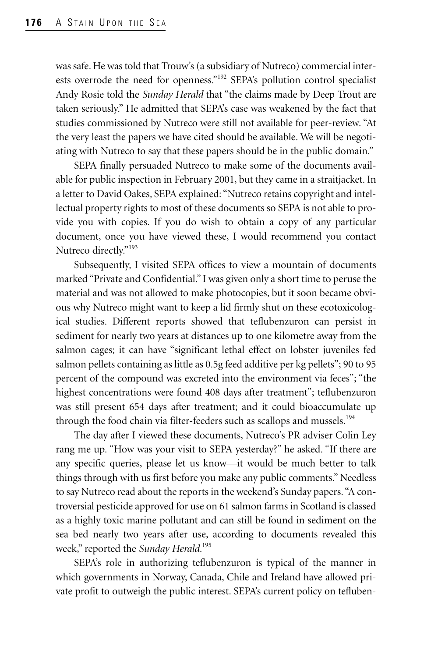was safe. He was told that Trouw's (a subsidiary of Nutreco) commercial interests overrode the need for openness."<sup>192</sup> SEPA's pollution control specialist Andy Rosie told the *Sunday Herald* that "the claims made by Deep Trout are taken seriously." He admitted that SEPA's case was weakened by the fact that studies commissioned by Nutreco were still not available for peer-review. "At the very least the papers we have cited should be available. We will be negotiating with Nutreco to say that these papers should be in the public domain."

SEPA finally persuaded Nutreco to make some of the documents available for public inspection in February 2001, but they came in a straitjacket. In a letter to David Oakes, SEPA explained: "Nutreco retains copyright and intellectual property rights to most of these documents so SEPA is not able to provide you with copies. If you do wish to obtain a copy of any particular document, once you have viewed these, I would recommend you contact Nutreco directly."<sup>193</sup>

Subsequently, I visited SEPA offices to view a mountain of documents marked "Private and Confidential." I was given only a short time to peruse the material and was not allowed to make photocopies, but it soon became obvious why Nutreco might want to keep a lid firmly shut on these ecotoxicological studies. Different reports showed that teflubenzuron can persist in sediment for nearly two years at distances up to one kilometre away from the salmon cages; it can have "significant lethal effect on lobster juveniles fed salmon pellets containing as little as 0.5g feed additive per kg pellets"; 90 to 95 percent of the compound was excreted into the environment via feces"; "the highest concentrations were found 408 days after treatment"; teflubenzuron was still present 654 days after treatment; and it could bioaccumulate up through the food chain via filter-feeders such as scallops and mussels.<sup>194</sup>

The day after I viewed these documents, Nutreco's PR adviser Colin Ley rang me up. "How was your visit to SEPA yesterday?" he asked. "If there are any specific queries, please let us know—it would be much better to talk things through with us first before you make any public comments." Needless to say Nutreco read about the reports in the weekend's Sunday papers."A controversial pesticide approved for use on 61 salmon farms in Scotland is classed as a highly toxic marine pollutant and can still be found in sediment on the sea bed nearly two years after use, according to documents revealed this week," reported the *Sunday Herald.*<sup>195</sup>

SEPA's role in authorizing teflubenzuron is typical of the manner in which governments in Norway, Canada, Chile and Ireland have allowed private profit to outweigh the public interest. SEPA's current policy on tefluben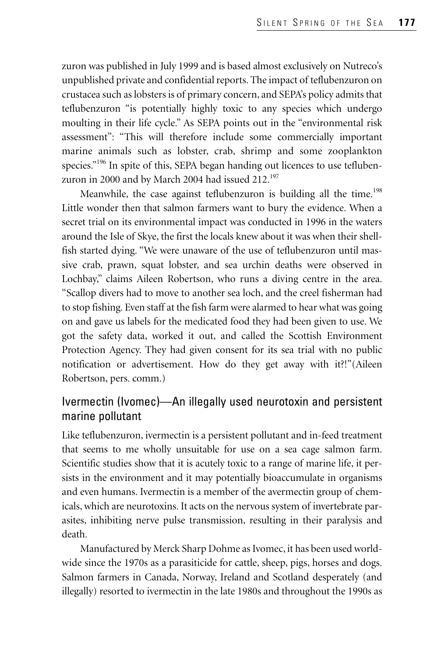zuron was published in July 1999 and is based almost exclusively on Nutreco's unpublished private and confidential reports. The impact of teflubenzuron on crustacea such as lobsters is of primary concern, and SEPA's policy admits that teflubenzuron "is potentially highly toxic to any species which undergo moulting in their life cycle." As SEPA points out in the "environmental risk assessment": "This will therefore include some commercially important marine animals such as lobster, crab, shrimp and some zooplankton species."<sup>196</sup> In spite of this, SEPA began handing out licences to use teflubenzuron in 2000 and by March 2004 had issued 212.<sup>197</sup>

Meanwhile, the case against teflubenzuron is building all the time.<sup>198</sup> Little wonder then that salmon farmers want to bury the evidence. When a secret trial on its environmental impact was conducted in 1996 in the waters around the Isle of Skye, the first the locals knew about it was when their shellfish started dying. "We were unaware of the use of teflubenzuron until massive crab, prawn, squat lobster, and sea urchin deaths were observed in Lochbay," claims Aileen Robertson, who runs a diving centre in the area. "Scallop divers had to move to another sea loch, and the creel fisherman had to stop fishing. Even staff at the fish farm were alarmed to hear what was going on and gave us labels for the medicated food they had been given to use. We got the safety data, worked it out, and called the Scottish Environment Protection Agency. They had given consent for its sea trial with no public notification or advertisement. How do they get away with it?!"(Aileen Robertson, pers. comm.)

#### Ivermectin (Ivomec)—An illegally used neurotoxin and persistent marine pollutant

Like teflubenzuron, ivermectin is a persistent pollutant and in-feed treatment that seems to me wholly unsuitable for use on a sea cage salmon farm. Scientific studies show that it is acutely toxic to a range of marine life, it persists in the environment and it may potentially bioaccumulate in organisms and even humans. Ivermectin is a member of the avermectin group of chemicals, which are neurotoxins. It acts on the nervous system of invertebrate parasites, inhibiting nerve pulse transmission, resulting in their paralysis and death.

Manufactured by Merck Sharp Dohme as Ivomec, it has been used worldwide since the 1970s as a parasiticide for cattle, sheep, pigs, horses and dogs. Salmon farmers in Canada, Norway, Ireland and Scotland desperately (and illegally) resorted to ivermectin in the late 1980s and throughout the 1990s as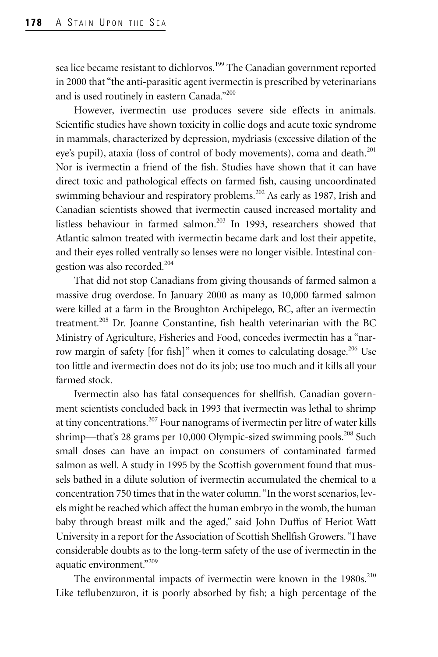sea lice became resistant to dichlorvos.<sup>199</sup> The Canadian government reported in 2000 that "the anti-parasitic agent ivermectin is prescribed by veterinarians and is used routinely in eastern Canada."<sup>200</sup>

However, ivermectin use produces severe side effects in animals. Scientific studies have shown toxicity in collie dogs and acute toxic syndrome in mammals, characterized by depression, mydriasis (excessive dilation of the eye's pupil), ataxia (loss of control of body movements), coma and death.<sup>201</sup> Nor is ivermectin a friend of the fish. Studies have shown that it can have direct toxic and pathological effects on farmed fish, causing uncoordinated swimming behaviour and respiratory problems.<sup>202</sup> As early as 1987, Irish and Canadian scientists showed that ivermectin caused increased mortality and listless behaviour in farmed salmon.<sup>203</sup> In 1993, researchers showed that Atlantic salmon treated with ivermectin became dark and lost their appetite, and their eyes rolled ventrally so lenses were no longer visible. Intestinal congestion was also recorded.<sup>204</sup>

That did not stop Canadians from giving thousands of farmed salmon a massive drug overdose. In January 2000 as many as 10,000 farmed salmon were killed at a farm in the Broughton Archipelego, BC, after an ivermectin treatment.205 Dr. Joanne Constantine, fish health veterinarian with the BC Ministry of Agriculture, Fisheries and Food, concedes ivermectin has a "narrow margin of safety [for fish]" when it comes to calculating dosage.<sup>206</sup> Use too little and ivermectin does not do its job; use too much and it kills all your farmed stock.

Ivermectin also has fatal consequences for shellfish. Canadian government scientists concluded back in 1993 that ivermectin was lethal to shrimp at tiny concentrations.<sup>207</sup> Four nanograms of ivermectin per litre of water kills shrimp—that's 28 grams per 10,000 Olympic-sized swimming pools.<sup>208</sup> Such small doses can have an impact on consumers of contaminated farmed salmon as well. A study in 1995 by the Scottish government found that mussels bathed in a dilute solution of ivermectin accumulated the chemical to a concentration 750 times that in the water column."In the worst scenarios, levels might be reached which affect the human embryo in the womb, the human baby through breast milk and the aged," said John Duffus of Heriot Watt University in a report for the Association of Scottish Shellfish Growers."I have considerable doubts as to the long-term safety of the use of ivermectin in the aquatic environment."<sup>209</sup>

The environmental impacts of ivermectin were known in the 1980s.<sup>210</sup> Like teflubenzuron, it is poorly absorbed by fish; a high percentage of the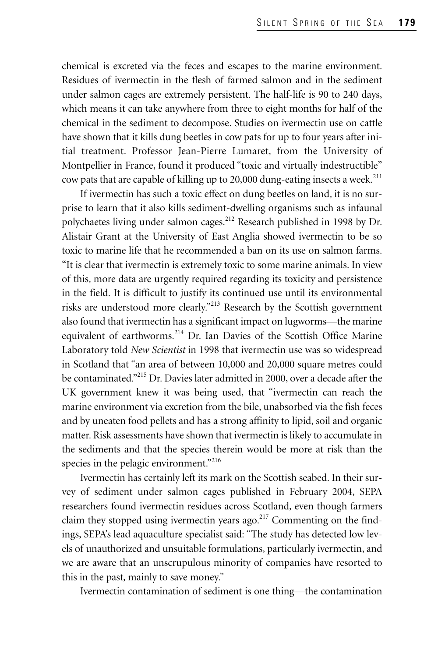chemical is excreted via the feces and escapes to the marine environment. Residues of ivermectin in the flesh of farmed salmon and in the sediment under salmon cages are extremely persistent. The half-life is 90 to 240 days, which means it can take anywhere from three to eight months for half of the chemical in the sediment to decompose. Studies on ivermectin use on cattle have shown that it kills dung beetles in cow pats for up to four years after initial treatment. Professor Jean-Pierre Lumaret, from the University of Montpellier in France, found it produced "toxic and virtually indestructible" cow pats that are capable of killing up to 20,000 dung-eating insects a week.<sup>211</sup>

If ivermectin has such a toxic effect on dung beetles on land, it is no surprise to learn that it also kills sediment-dwelling organisms such as infaunal polychaetes living under salmon cages.<sup>212</sup> Research published in 1998 by Dr. Alistair Grant at the University of East Anglia showed ivermectin to be so toxic to marine life that he recommended a ban on its use on salmon farms. "It is clear that ivermectin is extremely toxic to some marine animals. In view of this, more data are urgently required regarding its toxicity and persistence in the field. It is difficult to justify its continued use until its environmental risks are understood more clearly."213 Research by the Scottish government also found that ivermectin has a significant impact on lugworms—the marine equivalent of earthworms.<sup>214</sup> Dr. Ian Davies of the Scottish Office Marine Laboratory told *New Scientist* in 1998 that ivermectin use was so widespread in Scotland that "an area of between 10,000 and 20,000 square metres could be contaminated."<sup>215</sup> Dr. Davies later admitted in 2000, over a decade after the UK government knew it was being used, that "ivermectin can reach the marine environment via excretion from the bile, unabsorbed via the fish feces and by uneaten food pellets and has a strong affinity to lipid, soil and organic matter. Risk assessments have shown that ivermectin is likely to accumulate in the sediments and that the species therein would be more at risk than the species in the pelagic environment."<sup>216</sup>

Ivermectin has certainly left its mark on the Scottish seabed. In their survey of sediment under salmon cages published in February 2004, SEPA researchers found ivermectin residues across Scotland, even though farmers claim they stopped using ivermectin years ago.<sup>217</sup> Commenting on the findings, SEPA's lead aquaculture specialist said: "The study has detected low levels of unauthorized and unsuitable formulations, particularly ivermectin, and we are aware that an unscrupulous minority of companies have resorted to this in the past, mainly to save money."

Ivermectin contamination of sediment is one thing—the contamination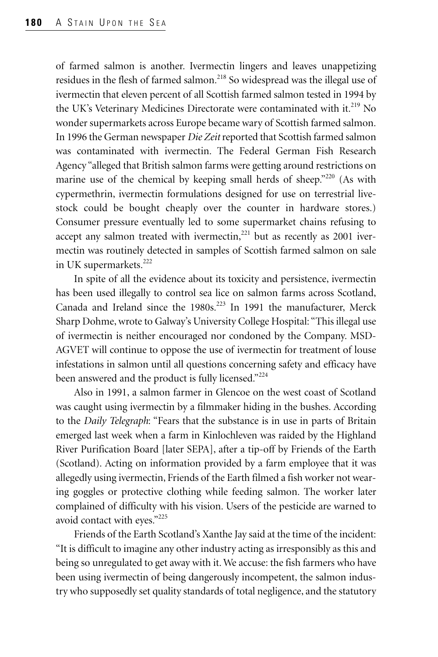of farmed salmon is another. Ivermectin lingers and leaves unappetizing residues in the flesh of farmed salmon.<sup>218</sup> So widespread was the illegal use of ivermectin that eleven percent of all Scottish farmed salmon tested in 1994 by the UK's Veterinary Medicines Directorate were contaminated with it.<sup>219</sup> No wonder supermarkets across Europe became wary of Scottish farmed salmon. In 1996 the German newspaper *Die Zeit* reported that Scottish farmed salmon was contaminated with ivermectin. The Federal German Fish Research Agency "alleged that British salmon farms were getting around restrictions on marine use of the chemical by keeping small herds of sheep."220 (As with cypermethrin, ivermectin formulations designed for use on terrestrial livestock could be bought cheaply over the counter in hardware stores.) Consumer pressure eventually led to some supermarket chains refusing to accept any salmon treated with ivermectin, $^{221}$  but as recently as 2001 ivermectin was routinely detected in samples of Scottish farmed salmon on sale in UK supermarkets.<sup>222</sup>

In spite of all the evidence about its toxicity and persistence, ivermectin has been used illegally to control sea lice on salmon farms across Scotland, Canada and Ireland since the 1980s.<sup>223</sup> In 1991 the manufacturer, Merck Sharp Dohme, wrote to Galway's University College Hospital: "This illegal use of ivermectin is neither encouraged nor condoned by the Company. MSD-AGVET will continue to oppose the use of ivermectin for treatment of louse infestations in salmon until all questions concerning safety and efficacy have been answered and the product is fully licensed."224

Also in 1991, a salmon farmer in Glencoe on the west coast of Scotland was caught using ivermectin by a filmmaker hiding in the bushes. According to the *Daily Telegraph*: "Fears that the substance is in use in parts of Britain emerged last week when a farm in Kinlochleven was raided by the Highland River Purification Board [later SEPA], after a tip-off by Friends of the Earth (Scotland). Acting on information provided by a farm employee that it was allegedly using ivermectin, Friends of the Earth filmed a fish worker not wearing goggles or protective clothing while feeding salmon. The worker later complained of difficulty with his vision. Users of the pesticide are warned to avoid contact with eyes."<sup>225</sup>

Friends of the Earth Scotland's Xanthe Jay said at the time of the incident: "It is difficult to imagine any other industry acting as irresponsibly as this and being so unregulated to get away with it. We accuse: the fish farmers who have been using ivermectin of being dangerously incompetent, the salmon industry who supposedly set quality standards of total negligence, and the statutory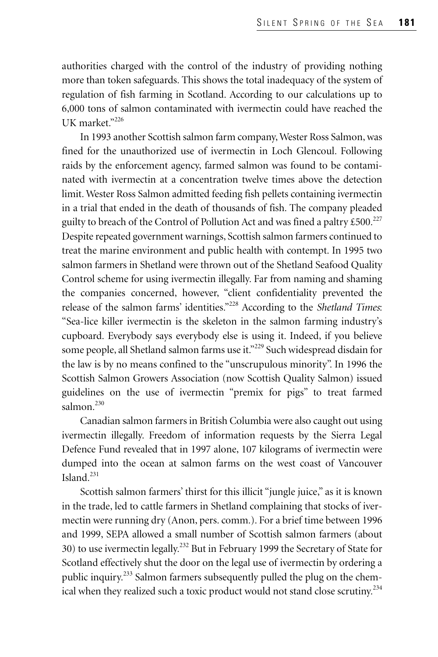authorities charged with the control of the industry of providing nothing more than token safeguards. This shows the total inadequacy of the system of regulation of fish farming in Scotland. According to our calculations up to 6,000 tons of salmon contaminated with ivermectin could have reached the UK market."<sup>226</sup>

In 1993 another Scottish salmon farm company, Wester Ross Salmon, was fined for the unauthorized use of ivermectin in Loch Glencoul. Following raids by the enforcement agency, farmed salmon was found to be contaminated with ivermectin at a concentration twelve times above the detection limit. Wester Ross Salmon admitted feeding fish pellets containing ivermectin in a trial that ended in the death of thousands of fish. The company pleaded guilty to breach of the Control of Pollution Act and was fined a paltry £500.<sup>227</sup> Despite repeated government warnings, Scottish salmon farmers continued to treat the marine environment and public health with contempt. In 1995 two salmon farmers in Shetland were thrown out of the Shetland Seafood Quality Control scheme for using ivermectin illegally. Far from naming and shaming the companies concerned, however, "client confidentiality prevented the release of the salmon farms' identities."228 According to the *Shetland Times*: "Sea-lice killer ivermectin is the skeleton in the salmon farming industry's cupboard. Everybody says everybody else is using it. Indeed, if you believe some people, all Shetland salmon farms use it."229 Such widespread disdain for the law is by no means confined to the "unscrupulous minority". In 1996 the Scottish Salmon Growers Association (now Scottish Quality Salmon) issued guidelines on the use of ivermectin "premix for pigs" to treat farmed salmon $^{230}$ 

Canadian salmon farmers in British Columbia were also caught out using ivermectin illegally. Freedom of information requests by the Sierra Legal Defence Fund revealed that in 1997 alone, 107 kilograms of ivermectin were dumped into the ocean at salmon farms on the west coast of Vancouver Island. $^{231}$ 

Scottish salmon farmers' thirst for this illicit "jungle juice," as it is known in the trade, led to cattle farmers in Shetland complaining that stocks of ivermectin were running dry (Anon, pers. comm.). For a brief time between 1996 and 1999, SEPA allowed a small number of Scottish salmon farmers (about 30) to use ivermectin legally.<sup>232</sup> But in February 1999 the Secretary of State for Scotland effectively shut the door on the legal use of ivermectin by ordering a public inquiry.<sup>233</sup> Salmon farmers subsequently pulled the plug on the chemical when they realized such a toxic product would not stand close scrutiny.<sup>234</sup>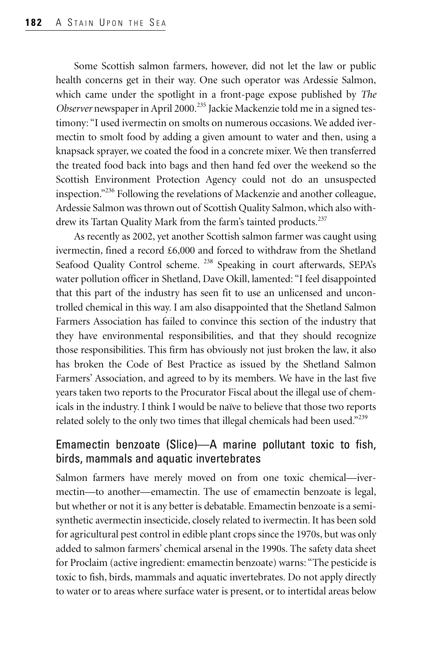Some Scottish salmon farmers, however, did not let the law or public health concerns get in their way. One such operator was Ardessie Salmon, which came under the spotlight in a front-page expose published by *The Observer* newspaper in April 2000.<sup>235</sup> Jackie Mackenzie told me in a signed testimony: "I used ivermectin on smolts on numerous occasions. We added ivermectin to smolt food by adding a given amount to water and then, using a knapsack sprayer, we coated the food in a concrete mixer. We then transferred the treated food back into bags and then hand fed over the weekend so the Scottish Environment Protection Agency could not do an unsuspected inspection."<sup>236</sup> Following the revelations of Mackenzie and another colleague, Ardessie Salmon was thrown out of Scottish Quality Salmon, which also withdrew its Tartan Quality Mark from the farm's tainted products.<sup>237</sup>

As recently as 2002, yet another Scottish salmon farmer was caught using ivermectin, fined a record £6,000 and forced to withdraw from the Shetland Seafood Quality Control scheme. <sup>238</sup> Speaking in court afterwards, SEPA's water pollution officer in Shetland, Dave Okill, lamented: "I feel disappointed that this part of the industry has seen fit to use an unlicensed and uncontrolled chemical in this way. I am also disappointed that the Shetland Salmon Farmers Association has failed to convince this section of the industry that they have environmental responsibilities, and that they should recognize those responsibilities. This firm has obviously not just broken the law, it also has broken the Code of Best Practice as issued by the Shetland Salmon Farmers' Association, and agreed to by its members. We have in the last five years taken two reports to the Procurator Fiscal about the illegal use of chemicals in the industry. I think I would be naïve to believe that those two reports related solely to the only two times that illegal chemicals had been used."<sup>239</sup>

#### Emamectin benzoate (Slice)—A marine pollutant toxic to fish, birds, mammals and aquatic invertebrates

Salmon farmers have merely moved on from one toxic chemical—ivermectin—to another—emamectin. The use of emamectin benzoate is legal, but whether or not it is any better is debatable. Emamectin benzoate is a semisynthetic avermectin insecticide, closely related to ivermectin. It has been sold for agricultural pest control in edible plant crops since the 1970s, but was only added to salmon farmers' chemical arsenal in the 1990s. The safety data sheet for Proclaim (active ingredient: emamectin benzoate) warns: "The pesticide is toxic to fish, birds, mammals and aquatic invertebrates. Do not apply directly to water or to areas where surface water is present, or to intertidal areas below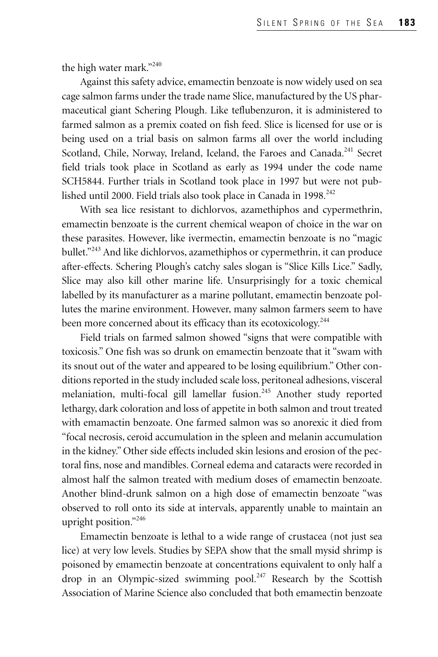the high water mark."<sup>240</sup>

Against this safety advice, emamectin benzoate is now widely used on sea cage salmon farms under the trade name Slice, manufactured by the US pharmaceutical giant Schering Plough. Like teflubenzuron, it is administered to farmed salmon as a premix coated on fish feed. Slice is licensed for use or is being used on a trial basis on salmon farms all over the world including Scotland, Chile, Norway, Ireland, Iceland, the Faroes and Canada.<sup>241</sup> Secret field trials took place in Scotland as early as 1994 under the code name SCH5844. Further trials in Scotland took place in 1997 but were not published until 2000. Field trials also took place in Canada in 1998.<sup>242</sup>

With sea lice resistant to dichlorvos, azamethiphos and cypermethrin, emamectin benzoate is the current chemical weapon of choice in the war on these parasites. However, like ivermectin, emamectin benzoate is no "magic bullet."<sup>243</sup> And like dichlorvos, azamethiphos or cypermethrin, it can produce after-effects. Schering Plough's catchy sales slogan is "Slice Kills Lice." Sadly, Slice may also kill other marine life. Unsurprisingly for a toxic chemical labelled by its manufacturer as a marine pollutant, emamectin benzoate pollutes the marine environment. However, many salmon farmers seem to have been more concerned about its efficacy than its ecotoxicology.<sup>244</sup>

Field trials on farmed salmon showed "signs that were compatible with toxicosis." One fish was so drunk on emamectin benzoate that it "swam with its snout out of the water and appeared to be losing equilibrium." Other conditions reported in the study included scale loss, peritoneal adhesions, visceral melaniation, multi-focal gill lamellar fusion.<sup>245</sup> Another study reported lethargy, dark coloration and loss of appetite in both salmon and trout treated with emamactin benzoate. One farmed salmon was so anorexic it died from "focal necrosis, ceroid accumulation in the spleen and melanin accumulation in the kidney." Other side effects included skin lesions and erosion of the pectoral fins, nose and mandibles. Corneal edema and cataracts were recorded in almost half the salmon treated with medium doses of emamectin benzoate. Another blind-drunk salmon on a high dose of emamectin benzoate "was observed to roll onto its side at intervals, apparently unable to maintain an upright position."246

Emamectin benzoate is lethal to a wide range of crustacea (not just sea lice) at very low levels. Studies by SEPA show that the small mysid shrimp is poisoned by emamectin benzoate at concentrations equivalent to only half a drop in an Olympic-sized swimming pool.<sup>247</sup> Research by the Scottish Association of Marine Science also concluded that both emamectin benzoate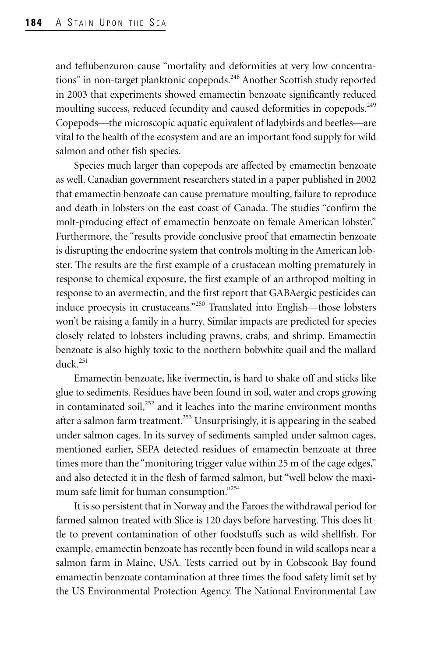and teflubenzuron cause "mortality and deformities at very low concentrations" in non-target planktonic copepods.<sup>248</sup> Another Scottish study reported in 2003 that experiments showed emamectin benzoate significantly reduced moulting success, reduced fecundity and caused deformities in copepods.<sup>249</sup> Copepods—the microscopic aquatic equivalent of ladybirds and beetles—are vital to the health of the ecosystem and are an important food supply for wild salmon and other fish species.

Species much larger than copepods are affected by emamectin benzoate as well. Canadian government researchers stated in a paper published in 2002 that emamectin benzoate can cause premature moulting, failure to reproduce and death in lobsters on the east coast of Canada. The studies "confirm the molt-producing effect of emamectin benzoate on female American lobster." Furthermore, the "results provide conclusive proof that emamectin benzoate is disrupting the endocrine system that controls molting in the American lobster. The results are the first example of a crustacean molting prematurely in response to chemical exposure, the first example of an arthropod molting in response to an avermectin, and the first report that GABAergic pesticides can induce proecysis in crustaceans."<sup>250</sup> Translated into English—those lobsters won't be raising a family in a hurry. Similar impacts are predicted for species closely related to lobsters including prawns, crabs, and shrimp. Emamectin benzoate is also highly toxic to the northern bobwhite quail and the mallard duck $251$ 

Emamectin benzoate, like ivermectin, is hard to shake off and sticks like glue to sediments. Residues have been found in soil, water and crops growing in contaminated soil, $^{252}$  and it leaches into the marine environment months after a salmon farm treatment.<sup>253</sup> Unsurprisingly, it is appearing in the seabed under salmon cages. In its survey of sediments sampled under salmon cages, mentioned earlier, SEPA detected residues of emamectin benzoate at three times more than the "monitoring trigger value within 25 m of the cage edges," and also detected it in the flesh of farmed salmon, but "well below the maximum safe limit for human consumption."<sup>254</sup>

It is so persistent that in Norway and the Faroes the withdrawal period for farmed salmon treated with Slice is 120 days before harvesting. This does little to prevent contamination of other foodstuffs such as wild shellfish. For example, emamectin benzoate has recently been found in wild scallops near a salmon farm in Maine, USA. Tests carried out by in Cobscook Bay found emamectin benzoate contamination at three times the food safety limit set by the US Environmental Protection Agency. The National Environmental Law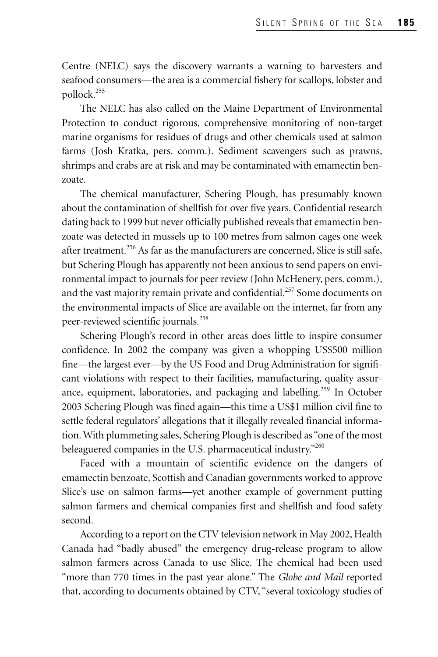Centre (NELC) says the discovery warrants a warning to harvesters and seafood consumers—the area is a commercial fishery for scallops, lobster and pollock.<sup>255</sup>

The NELC has also called on the Maine Department of Environmental Protection to conduct rigorous, comprehensive monitoring of non-target marine organisms for residues of drugs and other chemicals used at salmon farms (Josh Kratka, pers. comm.). Sediment scavengers such as prawns, shrimps and crabs are at risk and may be contaminated with emamectin benzoate.

The chemical manufacturer, Schering Plough, has presumably known about the contamination of shellfish for over five years. Confidential research dating back to 1999 but never officially published reveals that emamectin benzoate was detected in mussels up to 100 metres from salmon cages one week after treatment.<sup>256</sup> As far as the manufacturers are concerned, Slice is still safe, but Schering Plough has apparently not been anxious to send papers on environmental impact to journals for peer review (John McHenery, pers. comm.), and the vast majority remain private and confidential.<sup>257</sup> Some documents on the environmental impacts of Slice are available on the internet, far from any peer-reviewed scientific journals.<sup>258</sup>

Schering Plough's record in other areas does little to inspire consumer confidence. In 2002 the company was given a whopping US\$500 million fine—the largest ever—by the US Food and Drug Administration for significant violations with respect to their facilities, manufacturing, quality assurance, equipment, laboratories, and packaging and labelling.<sup>259</sup> In October 2003 Schering Plough was fined again—this time a US\$1 million civil fine to settle federal regulators' allegations that it illegally revealed financial information. With plummeting sales, Schering Plough is described as "one of the most beleaguered companies in the U.S. pharmaceutical industry."260

Faced with a mountain of scientific evidence on the dangers of emamectin benzoate, Scottish and Canadian governments worked to approve Slice's use on salmon farms—yet another example of government putting salmon farmers and chemical companies first and shellfish and food safety second.

According to a report on the CTV television network in May 2002, Health Canada had "badly abused" the emergency drug-release program to allow salmon farmers across Canada to use Slice. The chemical had been used "more than 770 times in the past year alone." The *Globe and Mail* reported that, according to documents obtained by CTV, "several toxicology studies of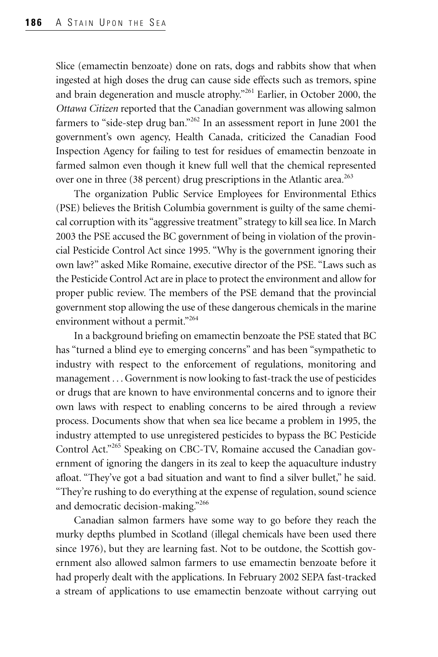Slice (emamectin benzoate) done on rats, dogs and rabbits show that when ingested at high doses the drug can cause side effects such as tremors, spine and brain degeneration and muscle atrophy."<sup>261</sup> Earlier, in October 2000, the *Ottawa Citizen* reported that the Canadian government was allowing salmon farmers to "side-step drug ban."262 In an assessment report in June 2001 the government's own agency, Health Canada, criticized the Canadian Food Inspection Agency for failing to test for residues of emamectin benzoate in farmed salmon even though it knew full well that the chemical represented over one in three (38 percent) drug prescriptions in the Atlantic area.<sup>263</sup>

The organization Public Service Employees for Environmental Ethics (PSE) believes the British Columbia government is guilty of the same chemical corruption with its "aggressive treatment" strategy to kill sea lice. In March 2003 the PSE accused the BC government of being in violation of the provincial Pesticide Control Act since 1995. "Why is the government ignoring their own law?" asked Mike Romaine, executive director of the PSE. "Laws such as the Pesticide Control Act are in place to protect the environment and allow for proper public review. The members of the PSE demand that the provincial government stop allowing the use of these dangerous chemicals in the marine environment without a permit."<sup>264</sup>

In a background briefing on emamectin benzoate the PSE stated that BC has "turned a blind eye to emerging concerns" and has been "sympathetic to industry with respect to the enforcement of regulations, monitoring and management . . . Government is now looking to fast-track the use of pesticides or drugs that are known to have environmental concerns and to ignore their own laws with respect to enabling concerns to be aired through a review process. Documents show that when sea lice became a problem in 1995, the industry attempted to use unregistered pesticides to bypass the BC Pesticide Control Act."265 Speaking on CBC-TV, Romaine accused the Canadian government of ignoring the dangers in its zeal to keep the aquaculture industry afloat. "They've got a bad situation and want to find a silver bullet," he said. "They're rushing to do everything at the expense of regulation, sound science and democratic decision-making."266

Canadian salmon farmers have some way to go before they reach the murky depths plumbed in Scotland (illegal chemicals have been used there since 1976), but they are learning fast. Not to be outdone, the Scottish government also allowed salmon farmers to use emamectin benzoate before it had properly dealt with the applications. In February 2002 SEPA fast-tracked a stream of applications to use emamectin benzoate without carrying out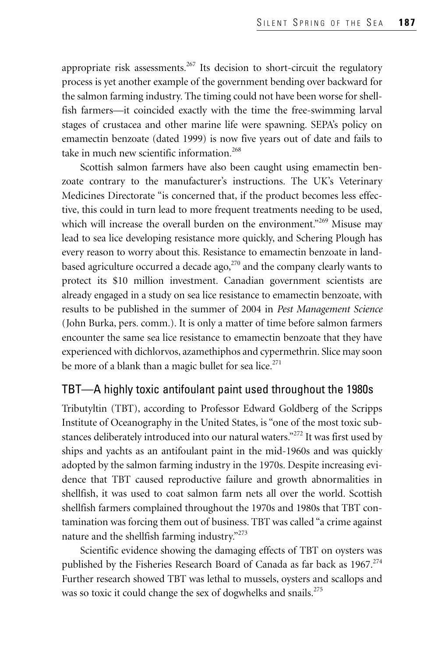appropriate risk assessments.<sup>267</sup> Its decision to short-circuit the regulatory process is yet another example of the government bending over backward for the salmon farming industry. The timing could not have been worse for shellfish farmers—it coincided exactly with the time the free-swimming larval stages of crustacea and other marine life were spawning. SEPA's policy on emamectin benzoate (dated 1999) is now five years out of date and fails to take in much new scientific information.<sup>268</sup>

Scottish salmon farmers have also been caught using emamectin benzoate contrary to the manufacturer's instructions. The UK's Veterinary Medicines Directorate "is concerned that, if the product becomes less effective, this could in turn lead to more frequent treatments needing to be used, which will increase the overall burden on the environment."<sup>269</sup> Misuse may lead to sea lice developing resistance more quickly, and Schering Plough has every reason to worry about this. Resistance to emamectin benzoate in landbased agriculture occurred a decade ago, $^{270}$  and the company clearly wants to protect its \$10 million investment. Canadian government scientists are already engaged in a study on sea lice resistance to emamectin benzoate, with results to be published in the summer of 2004 in *Pest Management Science* (John Burka, pers. comm.). It is only a matter of time before salmon farmers encounter the same sea lice resistance to emamectin benzoate that they have experienced with dichlorvos, azamethiphos and cypermethrin. Slice may soon be more of a blank than a magic bullet for sea lice.<sup>271</sup>

#### TBT—A highly toxic antifoulant paint used throughout the 1980s

Tributyltin (TBT), according to Professor Edward Goldberg of the Scripps Institute of Oceanography in the United States, is "one of the most toxic substances deliberately introduced into our natural waters."<sup>272</sup> It was first used by ships and yachts as an antifoulant paint in the mid-1960s and was quickly adopted by the salmon farming industry in the 1970s. Despite increasing evidence that TBT caused reproductive failure and growth abnormalities in shellfish, it was used to coat salmon farm nets all over the world. Scottish shellfish farmers complained throughout the 1970s and 1980s that TBT contamination was forcing them out of business. TBT was called "a crime against nature and the shellfish farming industry."<sup>273</sup>

Scientific evidence showing the damaging effects of TBT on oysters was published by the Fisheries Research Board of Canada as far back as 1967.<sup>274</sup> Further research showed TBT was lethal to mussels, oysters and scallops and was so toxic it could change the sex of dogwhelks and snails.<sup>275</sup>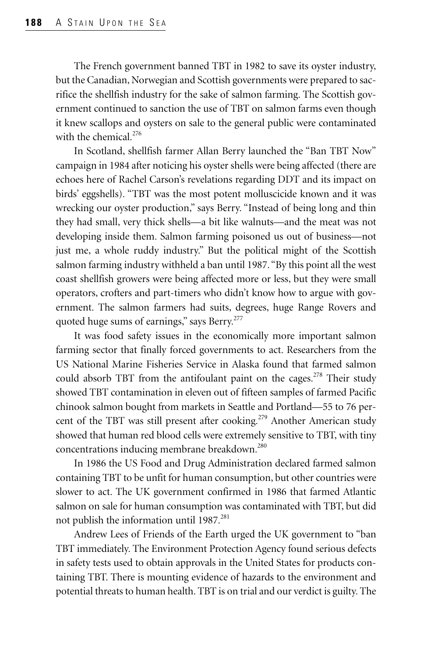The French government banned TBT in 1982 to save its oyster industry, but the Canadian, Norwegian and Scottish governments were prepared to sacrifice the shellfish industry for the sake of salmon farming. The Scottish government continued to sanction the use of TBT on salmon farms even though it knew scallops and oysters on sale to the general public were contaminated with the chemical.<sup>276</sup>

In Scotland, shellfish farmer Allan Berry launched the "Ban TBT Now" campaign in 1984 after noticing his oyster shells were being affected (there are echoes here of Rachel Carson's revelations regarding DDT and its impact on birds' eggshells). "TBT was the most potent molluscicide known and it was wrecking our oyster production," says Berry. "Instead of being long and thin they had small, very thick shells—a bit like walnuts—and the meat was not developing inside them. Salmon farming poisoned us out of business—not just me, a whole ruddy industry." But the political might of the Scottish salmon farming industry withheld a ban until 1987. "By this point all the west coast shellfish growers were being affected more or less, but they were small operators, crofters and part-timers who didn't know how to argue with government. The salmon farmers had suits, degrees, huge Range Rovers and quoted huge sums of earnings," says Berry.<sup>277</sup>

It was food safety issues in the economically more important salmon farming sector that finally forced governments to act. Researchers from the US National Marine Fisheries Service in Alaska found that farmed salmon could absorb TBT from the antifoulant paint on the cages.<sup>278</sup> Their study showed TBT contamination in eleven out of fifteen samples of farmed Pacific chinook salmon bought from markets in Seattle and Portland—55 to 76 percent of the TBT was still present after cooking.<sup>279</sup> Another American study showed that human red blood cells were extremely sensitive to TBT, with tiny concentrations inducing membrane breakdown.<sup>280</sup>

In 1986 the US Food and Drug Administration declared farmed salmon containing TBT to be unfit for human consumption, but other countries were slower to act. The UK government confirmed in 1986 that farmed Atlantic salmon on sale for human consumption was contaminated with TBT, but did not publish the information until 1987.<sup>281</sup>

Andrew Lees of Friends of the Earth urged the UK government to "ban TBT immediately. The Environment Protection Agency found serious defects in safety tests used to obtain approvals in the United States for products containing TBT. There is mounting evidence of hazards to the environment and potential threats to human health. TBT is on trial and our verdict is guilty. The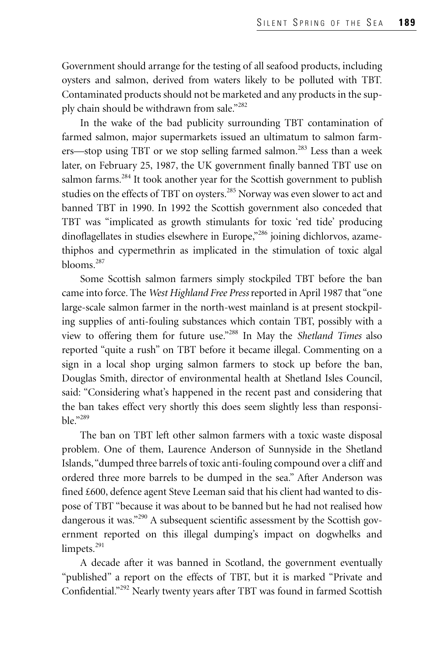Government should arrange for the testing of all seafood products, including oysters and salmon, derived from waters likely to be polluted with TBT. Contaminated products should not be marketed and any products in the supply chain should be withdrawn from sale."<sup>282</sup>

In the wake of the bad publicity surrounding TBT contamination of farmed salmon, major supermarkets issued an ultimatum to salmon farmers—stop using TBT or we stop selling farmed salmon.<sup>283</sup> Less than a week later, on February 25, 1987, the UK government finally banned TBT use on salmon farms.<sup>284</sup> It took another year for the Scottish government to publish studies on the effects of TBT on oysters.<sup>285</sup> Norway was even slower to act and banned TBT in 1990. In 1992 the Scottish government also conceded that TBT was "implicated as growth stimulants for toxic 'red tide' producing dinoflagellates in studies elsewhere in Europe,"<sup>286</sup> joining dichlorvos, azamethiphos and cypermethrin as implicated in the stimulation of toxic algal blooms.287

Some Scottish salmon farmers simply stockpiled TBT before the ban came into force. The *West Highland Free Press* reported in April 1987 that "one large-scale salmon farmer in the north-west mainland is at present stockpiling supplies of anti-fouling substances which contain TBT, possibly with a view to offering them for future use."288 In May the *Shetland Times* also reported "quite a rush" on TBT before it became illegal. Commenting on a sign in a local shop urging salmon farmers to stock up before the ban, Douglas Smith, director of environmental health at Shetland Isles Council, said: "Considering what's happened in the recent past and considering that the ban takes effect very shortly this does seem slightly less than responsible." $289$ 

The ban on TBT left other salmon farmers with a toxic waste disposal problem. One of them, Laurence Anderson of Sunnyside in the Shetland Islands,"dumped three barrels of toxic anti-fouling compound over a cliff and ordered three more barrels to be dumped in the sea." After Anderson was fined £600, defence agent Steve Leeman said that his client had wanted to dispose of TBT "because it was about to be banned but he had not realised how dangerous it was."<sup>290</sup> A subsequent scientific assessment by the Scottish government reported on this illegal dumping's impact on dogwhelks and limpets. $291$ 

A decade after it was banned in Scotland, the government eventually "published" a report on the effects of TBT, but it is marked "Private and Confidential."292 Nearly twenty years after TBT was found in farmed Scottish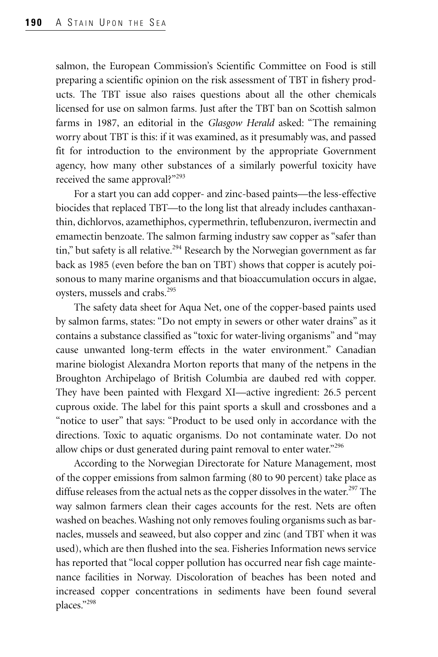salmon, the European Commission's Scientific Committee on Food is still preparing a scientific opinion on the risk assessment of TBT in fishery products. The TBT issue also raises questions about all the other chemicals licensed for use on salmon farms. Just after the TBT ban on Scottish salmon farms in 1987, an editorial in the *Glasgow Herald* asked: "The remaining worry about TBT is this: if it was examined, as it presumably was, and passed fit for introduction to the environment by the appropriate Government agency, how many other substances of a similarly powerful toxicity have received the same approval?"<sup>293</sup>

For a start you can add copper- and zinc-based paints—the less-effective biocides that replaced TBT—to the long list that already includes canthaxanthin, dichlorvos, azamethiphos, cypermethrin, teflubenzuron, ivermectin and emamectin benzoate. The salmon farming industry saw copper as "safer than tin," but safety is all relative.<sup>294</sup> Research by the Norwegian government as far back as 1985 (even before the ban on TBT) shows that copper is acutely poisonous to many marine organisms and that bioaccumulation occurs in algae, oysters, mussels and crabs.<sup>295</sup>

The safety data sheet for Aqua Net, one of the copper-based paints used by salmon farms, states: "Do not empty in sewers or other water drains" as it contains a substance classified as "toxic for water-living organisms" and "may cause unwanted long-term effects in the water environment." Canadian marine biologist Alexandra Morton reports that many of the netpens in the Broughton Archipelago of British Columbia are daubed red with copper. They have been painted with Flexgard XI—active ingredient: 26.5 percent cuprous oxide. The label for this paint sports a skull and crossbones and a "notice to user" that says: "Product to be used only in accordance with the directions. Toxic to aquatic organisms. Do not contaminate water. Do not allow chips or dust generated during paint removal to enter water."<sup>296</sup>

According to the Norwegian Directorate for Nature Management, most of the copper emissions from salmon farming (80 to 90 percent) take place as diffuse releases from the actual nets as the copper dissolves in the water.<sup>297</sup> The way salmon farmers clean their cages accounts for the rest. Nets are often washed on beaches. Washing not only removes fouling organisms such as barnacles, mussels and seaweed, but also copper and zinc (and TBT when it was used), which are then flushed into the sea. Fisheries Information news service has reported that "local copper pollution has occurred near fish cage maintenance facilities in Norway. Discoloration of beaches has been noted and increased copper concentrations in sediments have been found several places."<sup>298</sup>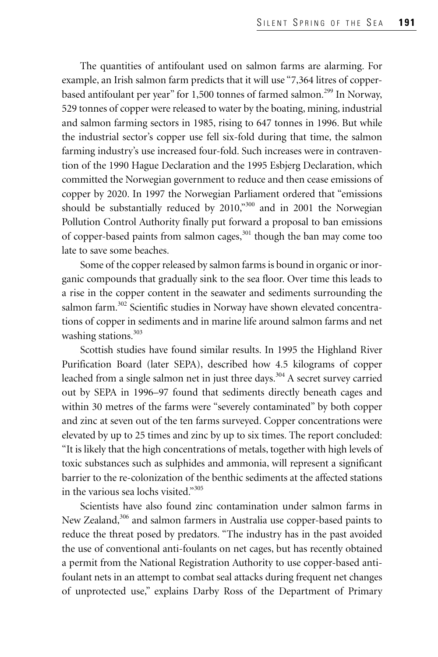The quantities of antifoulant used on salmon farms are alarming. For example, an Irish salmon farm predicts that it will use "7,364 litres of copperbased antifoulant per year" for 1,500 tonnes of farmed salmon.<sup>299</sup> In Norway, 529 tonnes of copper were released to water by the boating, mining, industrial and salmon farming sectors in 1985, rising to 647 tonnes in 1996. But while the industrial sector's copper use fell six-fold during that time, the salmon farming industry's use increased four-fold. Such increases were in contravention of the 1990 Hague Declaration and the 1995 Esbjerg Declaration, which committed the Norwegian government to reduce and then cease emissions of copper by 2020. In 1997 the Norwegian Parliament ordered that "emissions should be substantially reduced by 2010,"<sup>300</sup> and in 2001 the Norwegian Pollution Control Authority finally put forward a proposal to ban emissions of copper-based paints from salmon cages, $301$  though the ban may come too late to save some beaches.

Some of the copper released by salmon farms is bound in organic or inorganic compounds that gradually sink to the sea floor. Over time this leads to a rise in the copper content in the seawater and sediments surrounding the salmon farm.<sup>302</sup> Scientific studies in Norway have shown elevated concentrations of copper in sediments and in marine life around salmon farms and net washing stations.<sup>303</sup>

Scottish studies have found similar results. In 1995 the Highland River Purification Board (later SEPA), described how 4.5 kilograms of copper leached from a single salmon net in just three days.<sup>304</sup> A secret survey carried out by SEPA in 1996–97 found that sediments directly beneath cages and within 30 metres of the farms were "severely contaminated" by both copper and zinc at seven out of the ten farms surveyed. Copper concentrations were elevated by up to 25 times and zinc by up to six times. The report concluded: "It is likely that the high concentrations of metals, together with high levels of toxic substances such as sulphides and ammonia, will represent a significant barrier to the re-colonization of the benthic sediments at the affected stations in the various sea lochs visited."305

Scientists have also found zinc contamination under salmon farms in New Zealand,<sup>306</sup> and salmon farmers in Australia use copper-based paints to reduce the threat posed by predators. "The industry has in the past avoided the use of conventional anti-foulants on net cages, but has recently obtained a permit from the National Registration Authority to use copper-based antifoulant nets in an attempt to combat seal attacks during frequent net changes of unprotected use," explains Darby Ross of the Department of Primary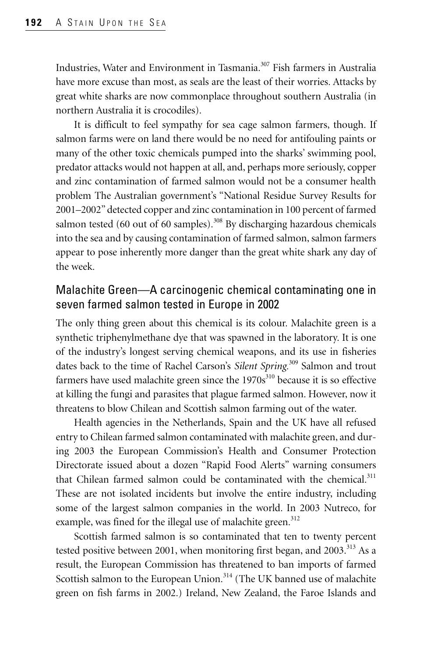Industries, Water and Environment in Tasmania.307 Fish farmers in Australia have more excuse than most, as seals are the least of their worries. Attacks by great white sharks are now commonplace throughout southern Australia (in northern Australia it is crocodiles).

It is difficult to feel sympathy for sea cage salmon farmers, though. If salmon farms were on land there would be no need for antifouling paints or many of the other toxic chemicals pumped into the sharks' swimming pool, predator attacks would not happen at all, and, perhaps more seriously, copper and zinc contamination of farmed salmon would not be a consumer health problem The Australian government's "National Residue Survey Results for 2001–2002" detected copper and zinc contamination in 100 percent of farmed salmon tested  $(60 \text{ out of } 60 \text{ samples})$ .<sup>308</sup> By discharging hazardous chemicals into the sea and by causing contamination of farmed salmon, salmon farmers appear to pose inherently more danger than the great white shark any day of the week.

#### Malachite Green—A carcinogenic chemical contaminating one in seven farmed salmon tested in Europe in 2002

The only thing green about this chemical is its colour. Malachite green is a synthetic triphenylmethane dye that was spawned in the laboratory. It is one of the industry's longest serving chemical weapons, and its use in fisheries dates back to the time of Rachel Carson's *Silent Spring.*<sup>309</sup> Salmon and trout farmers have used malachite green since the  $1970s<sup>310</sup>$  because it is so effective at killing the fungi and parasites that plague farmed salmon. However, now it threatens to blow Chilean and Scottish salmon farming out of the water.

Health agencies in the Netherlands, Spain and the UK have all refused entry to Chilean farmed salmon contaminated with malachite green, and during 2003 the European Commission's Health and Consumer Protection Directorate issued about a dozen "Rapid Food Alerts" warning consumers that Chilean farmed salmon could be contaminated with the chemical.<sup>311</sup> These are not isolated incidents but involve the entire industry, including some of the largest salmon companies in the world. In 2003 Nutreco, for example, was fined for the illegal use of malachite green.<sup>312</sup>

Scottish farmed salmon is so contaminated that ten to twenty percent tested positive between 2001, when monitoring first began, and 2003.<sup>313</sup> As a result, the European Commission has threatened to ban imports of farmed Scottish salmon to the European Union.<sup>314</sup> (The UK banned use of malachite green on fish farms in 2002.) Ireland, New Zealand, the Faroe Islands and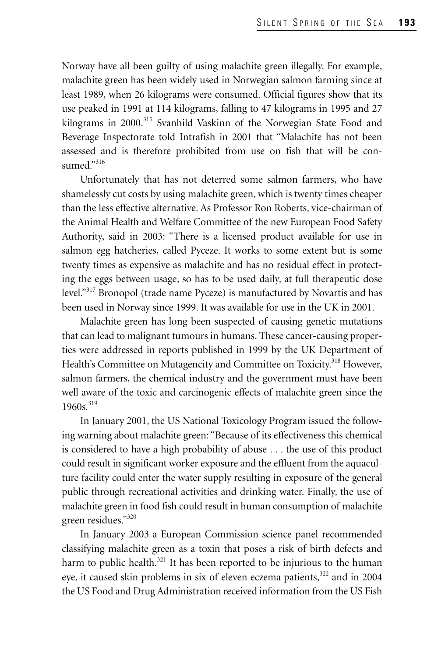Norway have all been guilty of using malachite green illegally. For example, malachite green has been widely used in Norwegian salmon farming since at least 1989, when 26 kilograms were consumed. Official figures show that its use peaked in 1991 at 114 kilograms, falling to 47 kilograms in 1995 and 27 kilograms in 2000.<sup>315</sup> Svanhild Vaskinn of the Norwegian State Food and Beverage Inspectorate told Intrafish in 2001 that "Malachite has not been assessed and is therefore prohibited from use on fish that will be consumed."<sup>316</sup>

Unfortunately that has not deterred some salmon farmers, who have shamelessly cut costs by using malachite green, which is twenty times cheaper than the less effective alternative. As Professor Ron Roberts, vice-chairman of the Animal Health and Welfare Committee of the new European Food Safety Authority, said in 2003: "There is a licensed product available for use in salmon egg hatcheries, called Pyceze. It works to some extent but is some twenty times as expensive as malachite and has no residual effect in protecting the eggs between usage, so has to be used daily, at full therapeutic dose level."<sup>317</sup> Bronopol (trade name Pyceze) is manufactured by Novartis and has been used in Norway since 1999. It was available for use in the UK in 2001.

Malachite green has long been suspected of causing genetic mutations that can lead to malignant tumours in humans. These cancer-causing properties were addressed in reports published in 1999 by the UK Department of Health's Committee on Mutagencity and Committee on Toxicity.<sup>318</sup> However, salmon farmers, the chemical industry and the government must have been well aware of the toxic and carcinogenic effects of malachite green since the 1960s.<sup>319</sup>

In January 2001, the US National Toxicology Program issued the following warning about malachite green: "Because of its effectiveness this chemical is considered to have a high probability of abuse . . . the use of this product could result in significant worker exposure and the effluent from the aquaculture facility could enter the water supply resulting in exposure of the general public through recreational activities and drinking water. Finally, the use of malachite green in food fish could result in human consumption of malachite green residues."320

In January 2003 a European Commission science panel recommended classifying malachite green as a toxin that poses a risk of birth defects and harm to public health.<sup>321</sup> It has been reported to be injurious to the human eye, it caused skin problems in six of eleven eczema patients,<sup>322</sup> and in 2004 the US Food and Drug Administration received information from the US Fish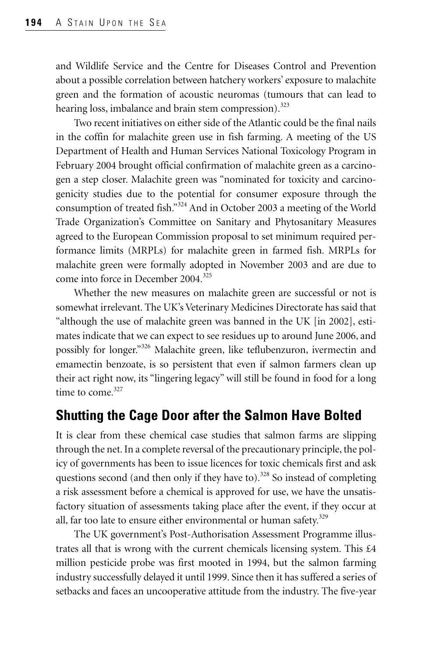and Wildlife Service and the Centre for Diseases Control and Prevention about a possible correlation between hatchery workers' exposure to malachite green and the formation of acoustic neuromas (tumours that can lead to hearing loss, imbalance and brain stem compression).<sup>323</sup>

Two recent initiatives on either side of the Atlantic could be the final nails in the coffin for malachite green use in fish farming. A meeting of the US Department of Health and Human Services National Toxicology Program in February 2004 brought official confirmation of malachite green as a carcinogen a step closer. Malachite green was "nominated for toxicity and carcinogenicity studies due to the potential for consumer exposure through the consumption of treated fish."324 And in October 2003 a meeting of the World Trade Organization's Committee on Sanitary and Phytosanitary Measures agreed to the European Commission proposal to set minimum required performance limits (MRPLs) for malachite green in farmed fish. MRPLs for malachite green were formally adopted in November 2003 and are due to come into force in December 2004.<sup>325</sup>

Whether the new measures on malachite green are successful or not is somewhat irrelevant. The UK's Veterinary Medicines Directorate has said that "although the use of malachite green was banned in the UK [in 2002], estimates indicate that we can expect to see residues up to around June 2006, and possibly for longer."<sup>326</sup> Malachite green, like teflubenzuron, ivermectin and emamectin benzoate, is so persistent that even if salmon farmers clean up their act right now, its "lingering legacy" will still be found in food for a long time to come. $327$ 

## **Shutting the Cage Door after the Salmon Have Bolted**

It is clear from these chemical case studies that salmon farms are slipping through the net. In a complete reversal of the precautionary principle, the policy of governments has been to issue licences for toxic chemicals first and ask questions second (and then only if they have to).<sup>328</sup> So instead of completing a risk assessment before a chemical is approved for use, we have the unsatisfactory situation of assessments taking place after the event, if they occur at all, far too late to ensure either environmental or human safety.<sup>329</sup>

The UK government's Post-Authorisation Assessment Programme illustrates all that is wrong with the current chemicals licensing system. This £4 million pesticide probe was first mooted in 1994, but the salmon farming industry successfully delayed it until 1999. Since then it has suffered a series of setbacks and faces an uncooperative attitude from the industry. The five-year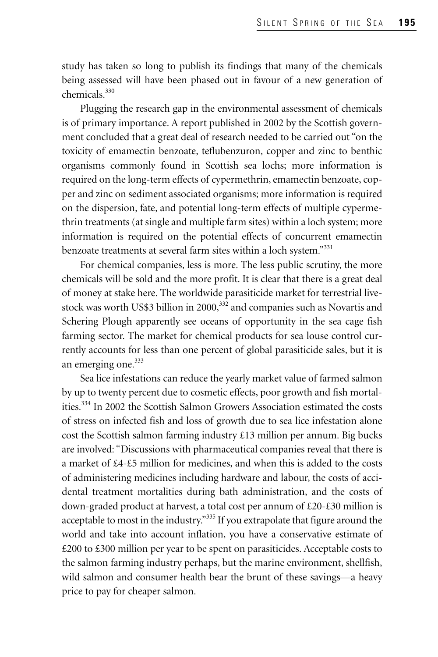study has taken so long to publish its findings that many of the chemicals being assessed will have been phased out in favour of a new generation of chemicals.<sup>330</sup>

Plugging the research gap in the environmental assessment of chemicals is of primary importance. A report published in 2002 by the Scottish government concluded that a great deal of research needed to be carried out "on the toxicity of emamectin benzoate, teflubenzuron, copper and zinc to benthic organisms commonly found in Scottish sea lochs; more information is required on the long-term effects of cypermethrin, emamectin benzoate, copper and zinc on sediment associated organisms; more information is required on the dispersion, fate, and potential long-term effects of multiple cypermethrin treatments (at single and multiple farm sites) within a loch system; more information is required on the potential effects of concurrent emamectin benzoate treatments at several farm sites within a loch system."331

For chemical companies, less is more. The less public scrutiny, the more chemicals will be sold and the more profit. It is clear that there is a great deal of money at stake here. The worldwide parasiticide market for terrestrial livestock was worth US\$3 billion in 2000,<sup>332</sup> and companies such as Novartis and Schering Plough apparently see oceans of opportunity in the sea cage fish farming sector. The market for chemical products for sea louse control currently accounts for less than one percent of global parasiticide sales, but it is an emerging one.<sup>333</sup>

Sea lice infestations can reduce the yearly market value of farmed salmon by up to twenty percent due to cosmetic effects, poor growth and fish mortalities.<sup>334</sup> In 2002 the Scottish Salmon Growers Association estimated the costs of stress on infected fish and loss of growth due to sea lice infestation alone cost the Scottish salmon farming industry £13 million per annum. Big bucks are involved: "Discussions with pharmaceutical companies reveal that there is a market of £4-£5 million for medicines, and when this is added to the costs of administering medicines including hardware and labour, the costs of accidental treatment mortalities during bath administration, and the costs of down-graded product at harvest, a total cost per annum of £20-£30 million is acceptable to most in the industry."<sup>335</sup> If you extrapolate that figure around the world and take into account inflation, you have a conservative estimate of £200 to £300 million per year to be spent on parasiticides. Acceptable costs to the salmon farming industry perhaps, but the marine environment, shellfish, wild salmon and consumer health bear the brunt of these savings—a heavy price to pay for cheaper salmon.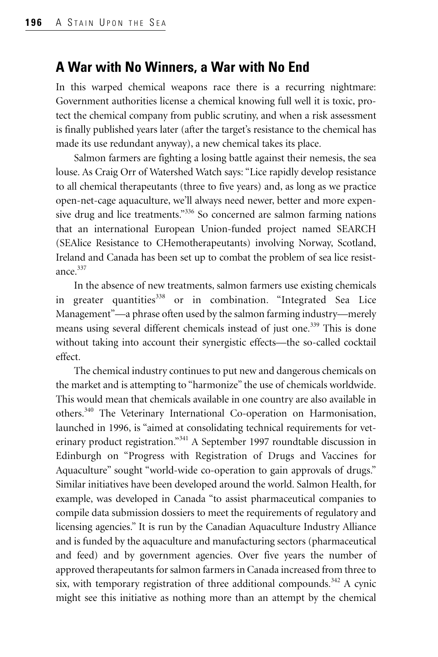## **A War with No Winners, a War with No End**

In this warped chemical weapons race there is a recurring nightmare: Government authorities license a chemical knowing full well it is toxic, protect the chemical company from public scrutiny, and when a risk assessment is finally published years later (after the target's resistance to the chemical has made its use redundant anyway), a new chemical takes its place.

Salmon farmers are fighting a losing battle against their nemesis, the sea louse. As Craig Orr of Watershed Watch says: "Lice rapidly develop resistance to all chemical therapeutants (three to five years) and, as long as we practice open-net-cage aquaculture, we'll always need newer, better and more expensive drug and lice treatments."<sup>336</sup> So concerned are salmon farming nations that an international European Union-funded project named SEARCH (SEAlice Resistance to CHemotherapeutants) involving Norway, Scotland, Ireland and Canada has been set up to combat the problem of sea lice resistance  $337$ 

In the absence of new treatments, salmon farmers use existing chemicals in greater quantities<sup>338</sup> or in combination. "Integrated Sea Lice Management"—a phrase often used by the salmon farming industry—merely means using several different chemicals instead of just one.<sup>339</sup> This is done without taking into account their synergistic effects—the so-called cocktail effect.

The chemical industry continues to put new and dangerous chemicals on the market and is attempting to "harmonize" the use of chemicals worldwide. This would mean that chemicals available in one country are also available in others.<sup>340</sup> The Veterinary International Co-operation on Harmonisation, launched in 1996, is "aimed at consolidating technical requirements for veterinary product registration."<sup>341</sup> A September 1997 roundtable discussion in Edinburgh on "Progress with Registration of Drugs and Vaccines for Aquaculture" sought "world-wide co-operation to gain approvals of drugs." Similar initiatives have been developed around the world. Salmon Health, for example, was developed in Canada "to assist pharmaceutical companies to compile data submission dossiers to meet the requirements of regulatory and licensing agencies." It is run by the Canadian Aquaculture Industry Alliance and is funded by the aquaculture and manufacturing sectors (pharmaceutical and feed) and by government agencies. Over five years the number of approved therapeutants for salmon farmers in Canada increased from three to six, with temporary registration of three additional compounds.<sup>342</sup> A cynic might see this initiative as nothing more than an attempt by the chemical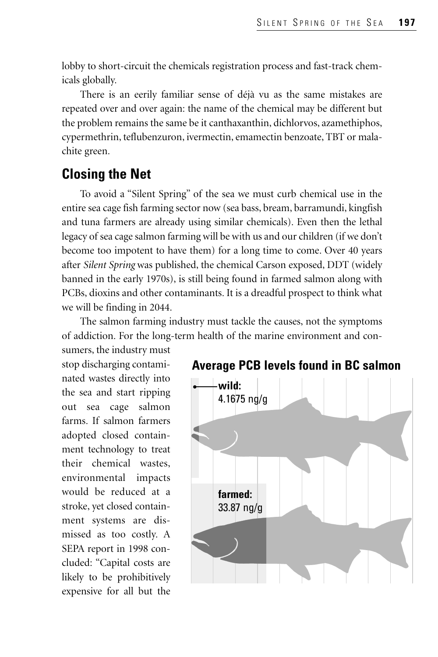lobby to short-circuit the chemicals registration process and fast-track chemicals globally.

There is an eerily familiar sense of déjà vu as the same mistakes are repeated over and over again: the name of the chemical may be different but the problem remains the same be it canthaxanthin, dichlorvos, azamethiphos, cypermethrin, teflubenzuron, ivermectin, emamectin benzoate, TBT or malachite green.

# **Closing the Net**

To avoid a "Silent Spring" of the sea we must curb chemical use in the entire sea cage fish farming sector now (sea bass, bream, barramundi, kingfish and tuna farmers are already using similar chemicals). Even then the lethal legacy of sea cage salmon farming will be with us and our children (if we don't become too impotent to have them) for a long time to come. Over 40 years after *Silent Spring* was published, the chemical Carson exposed, DDT (widely banned in the early 1970s), is still being found in farmed salmon along with PCBs, dioxins and other contaminants. It is a dreadful prospect to think what we will be finding in 2044.

The salmon farming industry must tackle the causes, not the symptoms of addiction. For the long-term health of the marine environment and con-

sumers, the industry must stop discharging contaminated wastes directly into the sea and start ripping out sea cage salmon farms. If salmon farmers adopted closed containment technology to treat their chemical wastes, environmental impacts would be reduced at a stroke, yet closed containment systems are dismissed as too costly. A SEPA report in 1998 concluded: "Capital costs are likely to be prohibitively expensive for all but the